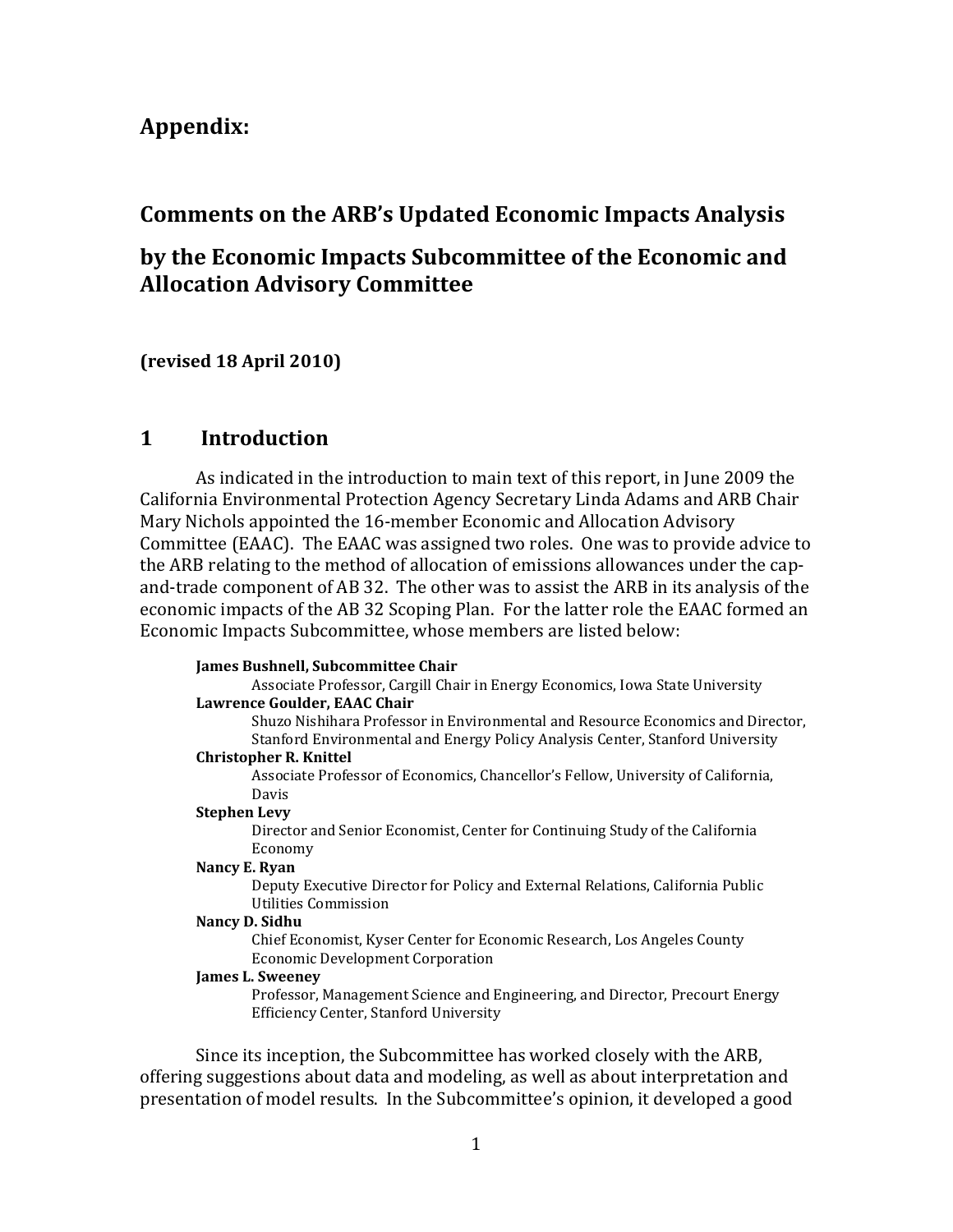# Appendix:

# Comments on the ARB's Updated Economic Impacts Analysis

# by the Economic Impacts Subcommittee of the Economic and Allocation Advisory Committee

(revised 18 April 2010)

### 1 Introduction

 California Environmental Protection Agency Secretary Linda Adams and ARB Chair Mary Nichols appointed the 16-member Economic and Allocation Advisory Committee (EAAC). The EAAC was assigned two roles. One was to provide advice to the ARB relating to the method of allocation of emissions allowances under the cap- and-trade component of AB 32. The other was to assist the ARB in its analysis of the economic impacts of the AB 32 Scoping Plan. For the latter role the EAAC formed an Economic Impacts Subcommittee, whose members are listed below: As indicated in the introduction to main text of this report, in June 2009 the

### James Bushnell, Subcommittee Chair

 Associate Professor, Cargill Chair in Energy Economics, Iowa State University Lawrence Goulder, EAAC Chair

 Shuzo Nishihara Professor in Environmental and Resource Economics and Director, Stanford Environmental and Energy Policy Analysis Center, Stanford University

## Christopher R. Knittel

 Associate Professor of Economics, Chancellor's Fellow, University of California, Davis

## Stephen Levy

 Director and Senior Economist, Center for Continuing Study of the California Economy

### Nancy E. Ryan

 Deputy Executive Director for Policy and External Relations, California Public Utilities Commission

## Nancy D. Sidhu

 Chief Economist, Kyser Center for Economic Research, Los Angeles County Economic Development Corporation

## James L. Sweeney

 Professor, Management Science and Engineering, and Director, Precourt Energy Efficiency Center, Stanford University

 Since its inception, the Subcommittee has worked closely with the ARB, offering suggestions about data and modeling, as well as about interpretation and presentation of model results. In the Subcommittee's opinion, it developed a good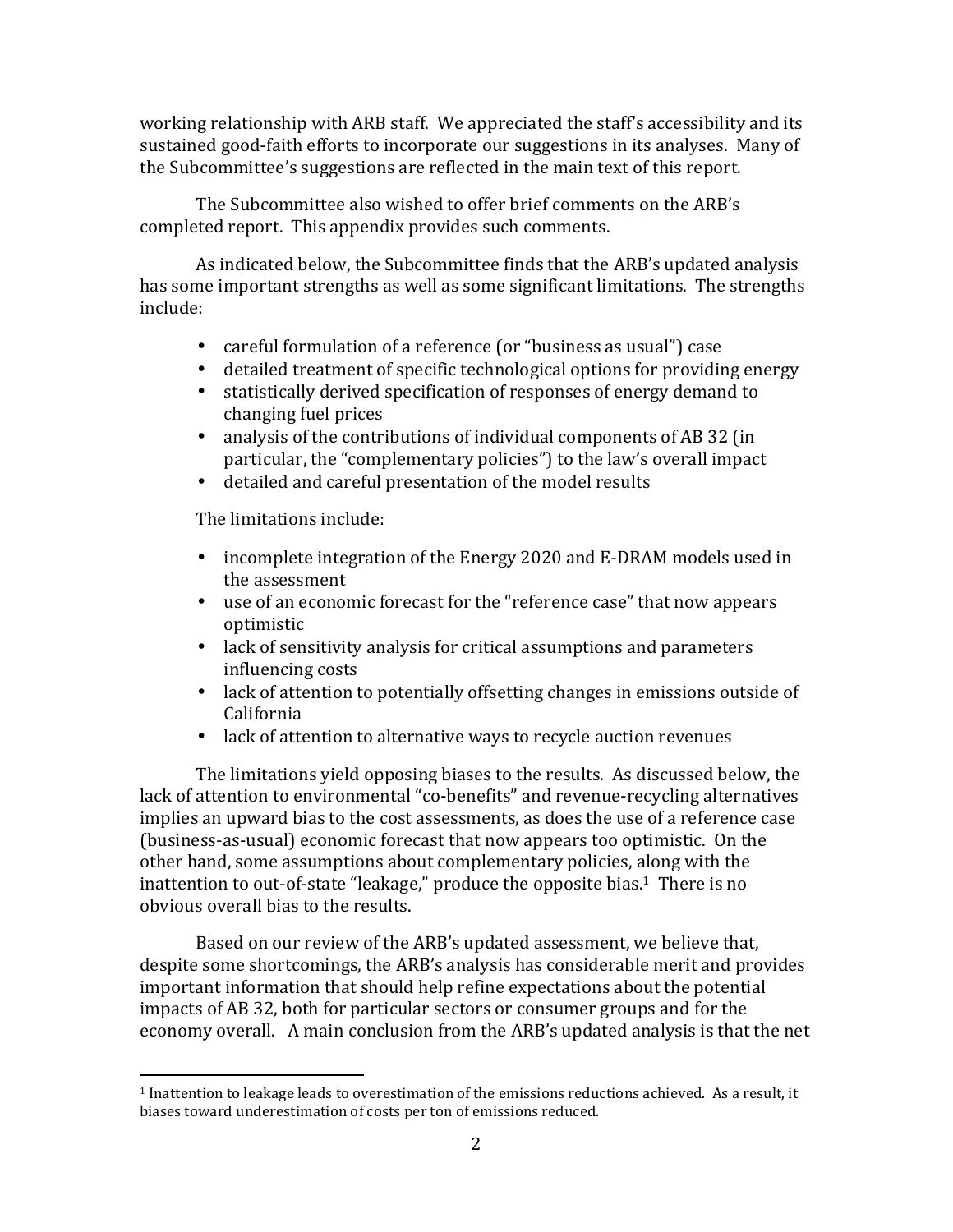working relationship with ARB staff. We appreciated the staff's accessibility and its sustained good-faith efforts to incorporate our suggestions in its analyses. Many of the Subcommittee's suggestions are reflected in the main text of this report.

 The Subcommittee also wished to offer brief comments on the ARB's completed report. This appendix provides such comments.

 As indicated below, the Subcommittee finds that the ARB's updated analysis has some important strengths as well as some significant limitations. The strengths include:

- careful formulation of a reference (or "business as usual") case
- detailed treatment of specific technological options for providing energy
- • statistically derived specification of responses of energy demand to changing fuel prices
- • analysis of the contributions of individual components of AB 32 (in particular, the "complementary policies") to the law's overall impact
- detailed and careful presentation of the model results

The limitations include:

- • incomplete integration of the Energy 2020 and E-DRAM models used in the assessment
- • use of an economic forecast for the "reference case" that now appears optimistic
- • lack of sensitivity analysis for critical assumptions and parameters influencing costs
- • lack of attention to potentially offsetting changes in emissions outside of California
- lack of attention to alternative ways to recycle auction revenues

 The limitations yield opposing biases to the results. As discussed below, the lack of attention to environmental "co-benefits" and revenue-recycling alternatives implies an upward bias to the cost assessments, as does the use of a reference case (business-as-usual) economic forecast that now appears too optimistic. On the other hand, some assumptions about complementary policies, along with the inattention to out-of-state "leakage," produce the opposite bias.<sup>1</sup> There is no obvious overall bias to the results.

 Based on our review of the ARB's updated assessment, we believe that, despite some shortcomings, the ARB's analysis has considerable merit and provides important information that should help refine expectations about the potential impacts of AB 32, both for particular sectors or consumer groups and for the economy overall. A main conclusion from the ARB's updated analysis is that the net

 $\overline{a}$  $^{\rm 1}$  Inattention to leakage leads to overestimation of the emissions reductions achieved. As a result, it biases toward underestimation of costs per ton of emissions reduced.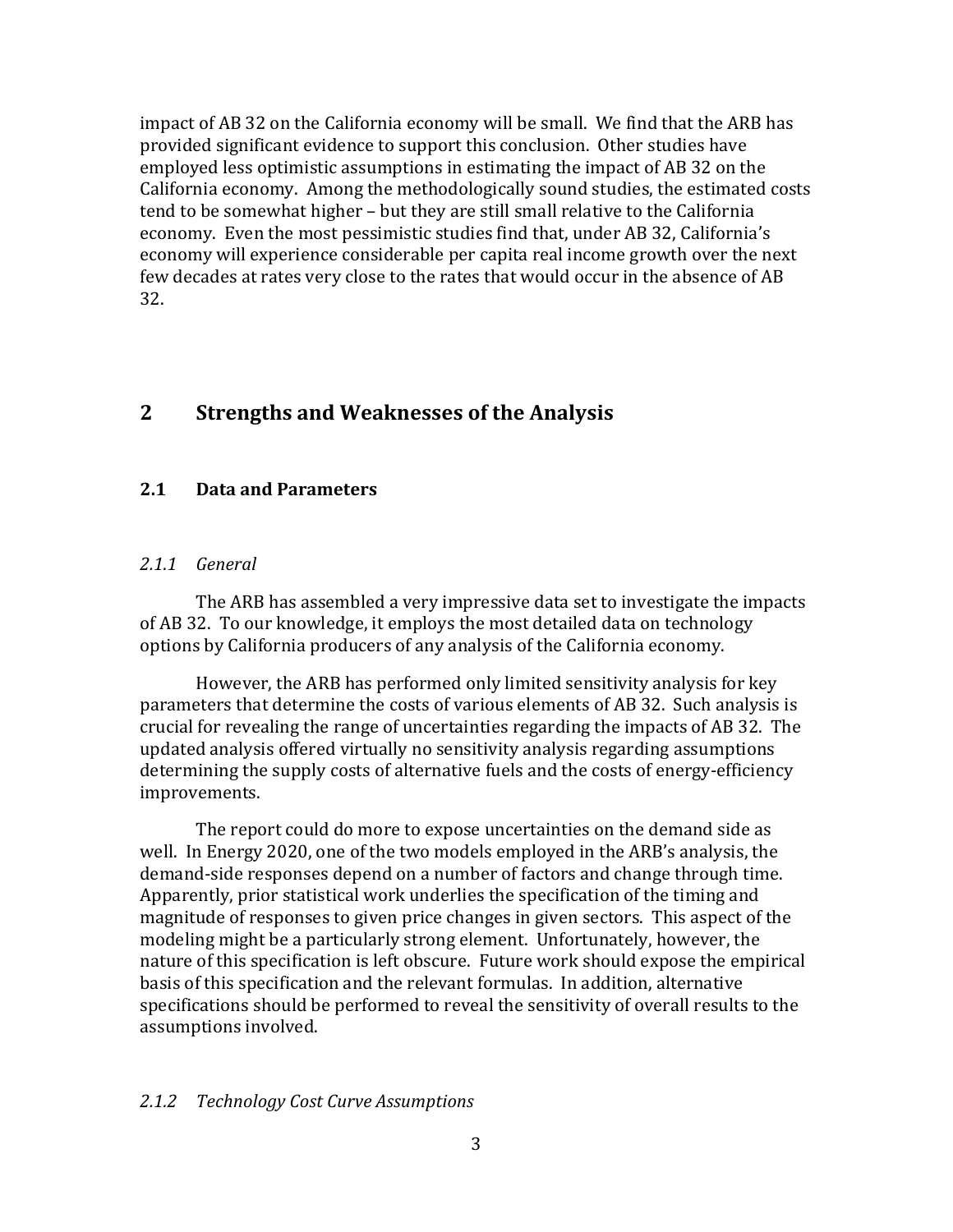impact of AB 32 on the California economy will be small. We find that the ARB has provided significant evidence to support this conclusion. Other studies have employed less optimistic assumptions in estimating the impact of AB 32 on the California economy. Among the methodologically sound studies, the estimated costs tend to be somewhat higher – but they are still small relative to the California economy. Even the most pessimistic studies find that, under AB 32, California's economy will experience considerable per capita real income growth over the next few decades at rates very close to the rates that would occur in the absence of AB 32.

## 2 Strengths and Weaknesses of the Analysis

#### $2.1$ 2.1 Data and Parameters

## 2.1.1 General

 of AB 32. To our knowledge, it employs the most detailed data on technology options by California producers of any analysis of the California economy. The ARB has assembled a very impressive data set to investigate the impacts

 However, the ARB has performed only limited sensitivity analysis for key parameters that determine the costs of various elements of AB 32. Such analysis is crucial for revealing the range of uncertainties regarding the impacts of AB 32. The updated analysis offered virtually no sensitivity analysis regarding assumptions determining the supply costs of alternative fuels and the costs of energy-efficiency improvements.

 improvements. The report could do more to expose uncertainties on the demand side as well. In Energy 2020, one of the two models employed in the ARB's analysis, the demand-side responses depend on a number of factors and change through time. Apparently, prior statistical work underlies the specification of the timing and magnitude of responses to given price changes in given sectors. This aspect of the modeling might be a particularly strong element. Unfortunately, however, the nature of this specification is left obscure. Future work should expose the empirical basis of this specification and the relevant formulas. In addition, alternative specifications should be performed to reveal the sensitivity of overall results to the assumptions involved.

## 2.1.2 Technology Cost Curve Assumptions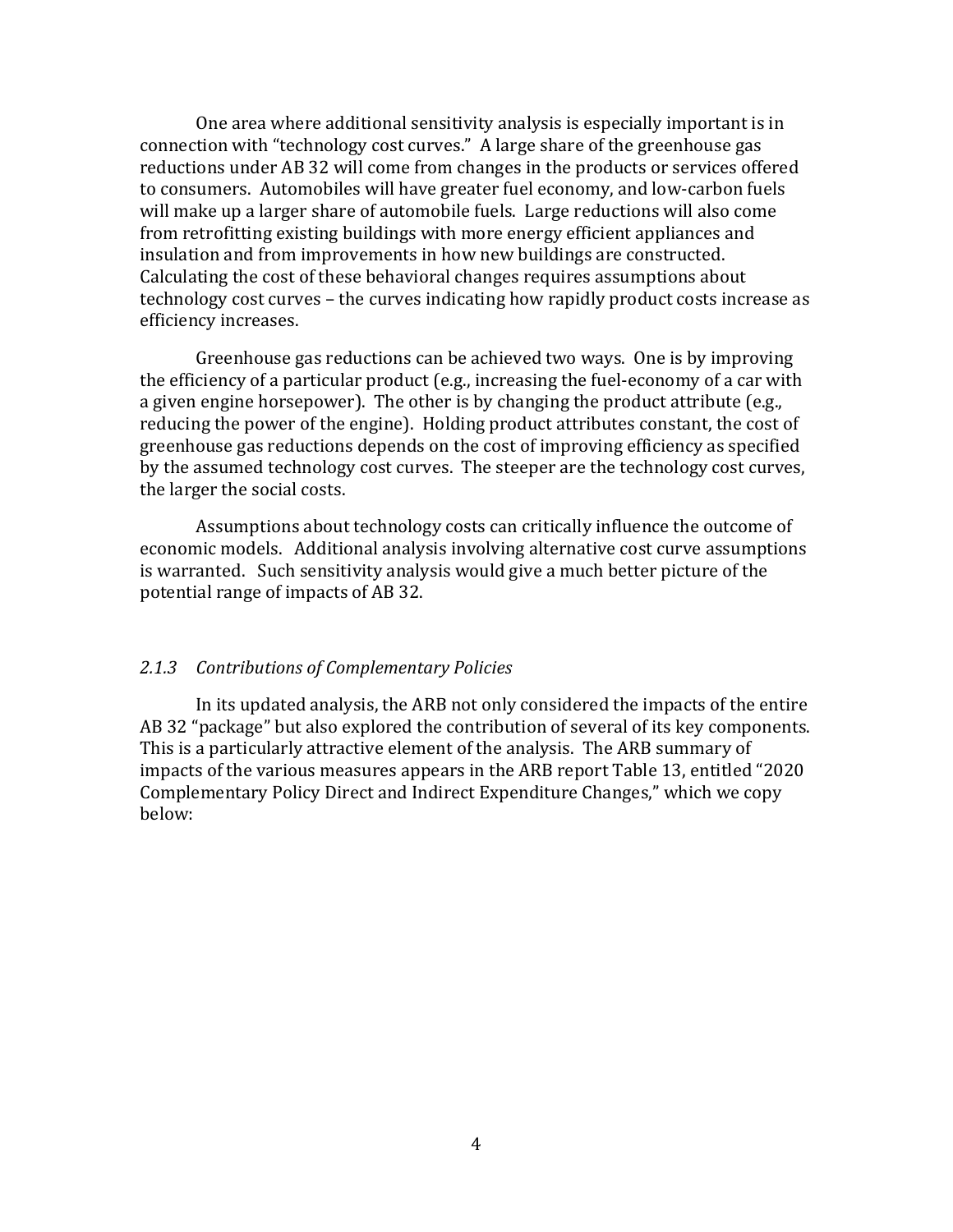One area where additional sensitivity analysis is especially important is in connection with "technology cost curves." A large share of the greenhouse gas reductions under AB 32 will come from changes in the products or services offered to consumers. Automobiles will have greater fuel economy, and low-carbon fuels will make up a larger share of automobile fuels. Large reductions will also come from retrofitting existing buildings with more energy efficient appliances and insulation and from improvements in how new buildings are constructed. Calculating the cost of these behavioral changes requires assumptions about technology cost curves – the curves indicating how rapidly product costs increase as efficiency increases.

 Greenhouse gas reductions can be achieved two ways. One is by improving the efficiency of a particular product (e.g., increasing the fuel-economy of a car with a given engine horsepower). The other is by changing the product attribute (e.g., reducing the power of the engine). Holding product attributes constant, the cost of greenhouse gas reductions depends on the cost of improving efficiency as specified by the assumed technology cost curves. The steeper are the technology cost curves, the larger the social costs.

 Assumptions about technology costs can critically influence the outcome of economic models. Additional analysis involving alternative cost curve assumptions is warranted. Such sensitivity analysis would give a much better picture of the potential range of impacts of AB 32.

## 2.1.3 Contributions of Complementary Policies

 AB 32 "package" but also explored the contribution of several of its key components. This is a particularly attractive element of the analysis. The ARB summary of impacts of the various measures appears in the ARB report Table 13, entitled "2020 Complementary Policy Direct and Indirect Expenditure Changes," which we copy In its updated analysis, the ARB not only considered the impacts of the entire below: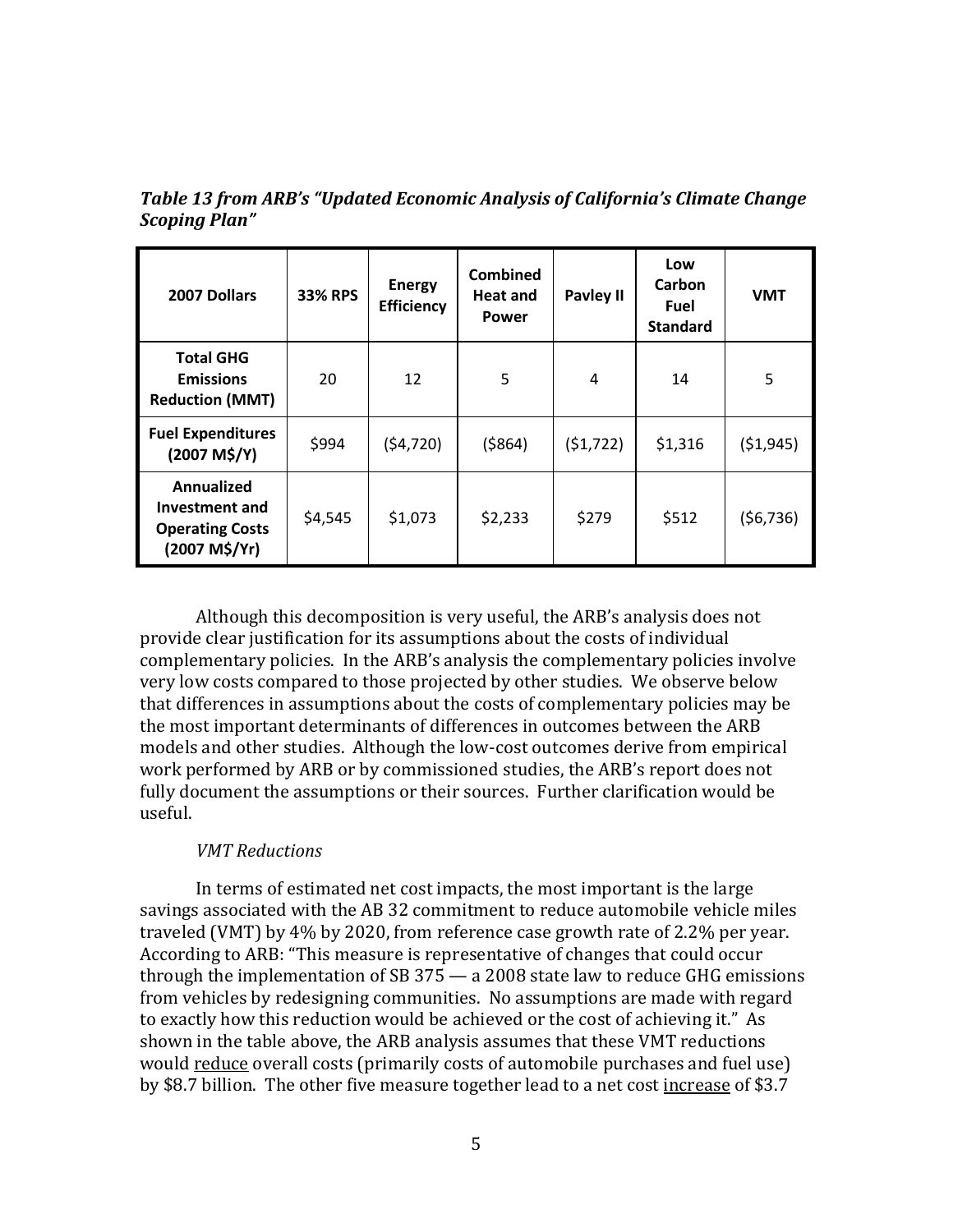| 2007 Dollars                                                                   | <b>33% RPS</b> | <b>Energy</b><br>Efficiency | <b>Combined</b><br><b>Heat and</b><br><b>Power</b> | <b>Pavley II</b> | Low<br>Carbon<br>Fuel<br><b>Standard</b> | <b>VMT</b> |
|--------------------------------------------------------------------------------|----------------|-----------------------------|----------------------------------------------------|------------------|------------------------------------------|------------|
| <b>Total GHG</b><br><b>Emissions</b><br><b>Reduction (MMT)</b>                 | 20             | 12                          | 5                                                  | 4                | 14                                       | 5          |
| <b>Fuel Expenditures</b><br>(2007 M\$/Y)                                       | \$994          | (54, 720)                   | ( \$864)                                           | (51, 722)        | \$1,316                                  | ( \$1,945) |
| <b>Annualized</b><br>Investment and<br><b>Operating Costs</b><br>(2007 M\$/Yr) | \$4,545        | \$1,073                     | \$2,233                                            | \$279            | \$512                                    | (56, 736)  |

 Table 13 from ARB's "Updated Economic Analysis of California's Climate Change Scoping Plan"

 Although this decomposition is very useful, the ARB's analysis does not provide clear justification for its assumptions about the costs of individual complementary policies. In the ARB's analysis the complementary policies involve very low costs compared to those projected by other studies. We observe below that differences in assumptions about the costs of complementary policies may be the most important determinants of differences in outcomes between the ARB models and other studies. Although the low-cost outcomes derive from empirical work performed by ARB or by commissioned studies, the ARB's report does not fully document the assumptions or their sources. Further clarification would be useful.

## VMT Reductions

 savings associated with the AB 32 commitment to reduce automobile vehicle miles traveled (VMT) by 4% by 2020, from reference case growth rate of 2.2% per year. According to ARB: "This measure is representative of changes that could occur through the implementation of SB 375 — a 2008 state law to reduce GHG emissions from vehicles by redesigning communities. No assumptions are made with regard to exactly how this reduction would be achieved or the cost of achieving it." As shown in the table above, the ARB analysis assumes that these VMT reductions would reduce overall costs (primarily costs of automobile purchases and fuel use) by \$8.7 billion. The other five measure together lead to a net cost <u>increase</u> of \$3.7 In terms of estimated net cost impacts, the most important is the large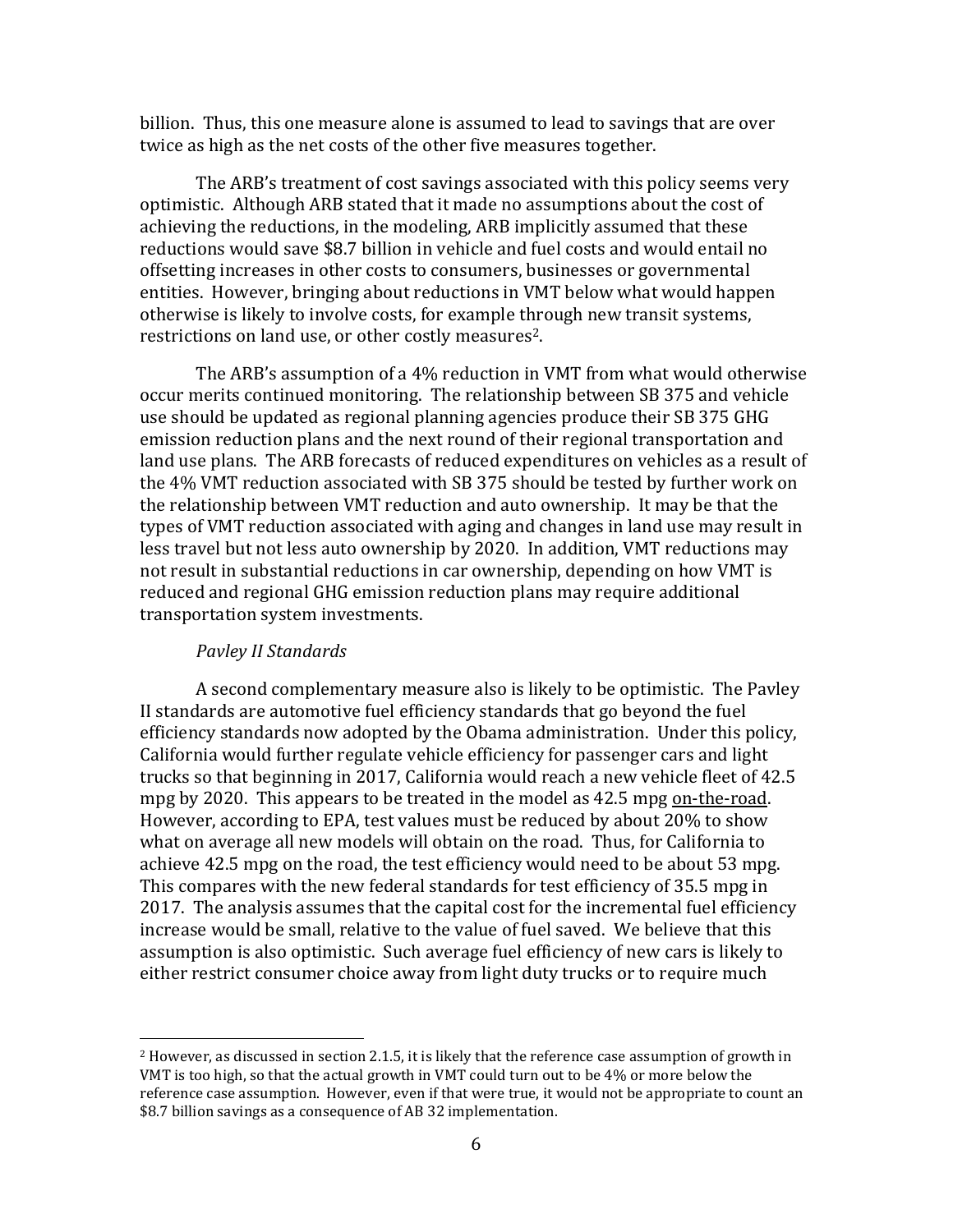billion. Thus, this one measure alone is assumed to lead to savings that are over twice as high as the net costs of the other five measures together.

 The ARB's treatment of cost savings associated with this policy seems very optimistic. Although ARB stated that it made no assumptions about the cost of achieving the reductions, in the modeling, ARB implicitly assumed that these reductions would save \$8.7 billion in vehicle and fuel costs and would entail no offsetting increases in other costs to consumers, businesses or governmental entities. However, bringing about reductions in VMT below what would happen otherwise is likely to involve costs, for example through new transit systems, restrictions on land use, or other costly measures<sup>2</sup>.

 The ARB's assumption of a 4% reduction in VMT from what would otherwise occur merits continued monitoring. The relationship between SB 375 and vehicle use should be updated as regional planning agencies produce their SB 375 GHG emission reduction plans and the next round of their regional transportation and land use plans. The ARB forecasts of reduced expenditures on vehicles as a result of the 4% VMT reduction associated with SB 375 should be tested by further work on the relationship between VMT reduction and auto ownership. It may be that the types of VMT reduction associated with aging and changes in land use may result in less travel but not less auto ownership by 2020. In addition, VMT reductions may not result in substantial reductions in car ownership, depending on how VMT is reduced and regional GHG emission reduction plans may require additional transportation system investments.

## Pavley II Standards

 $\overline{a}$ 

 A second complementary measure also is likely to be optimistic. The Pavley II standards are automotive fuel efficiency standards that go beyond the fuel efficiency standards now adopted by the Obama administration. Under this policy, California would further regulate vehicle efficiency for passenger cars and light trucks so that beginning in 2017, California would reach a new vehicle fleet of 42.5 mpg by 2020. This appears to be treated in the model as 42.5 mpg on-the-road. However, according to EPA, test values must be reduced by about 20% to show what on average all new models will obtain on the road. Thus, for California to achieve 42.5 mpg on the road, the test efficiency would need to be about 53 mpg. This compares with the new federal standards for test efficiency of 35.5 mpg in 2017. The analysis assumes that the capital cost for the incremental fuel efficiency increase would be small, relative to the value of fuel saved. We believe that this assumption is also optimistic. Such average fuel efficiency of new cars is likely to either restrict consumer choice away from light duty trucks or to require much

 $^2$  However, as discussed in section 2.1.5, it is likely that the reference case assumption of growth in VMT is too high, so that the actual growth in VMT could turn out to be 4% or more below the reference case assumption. However, even if that were true, it would not be appropriate to count an \$8.7 billion savings as a consequence of AB 32 implementation.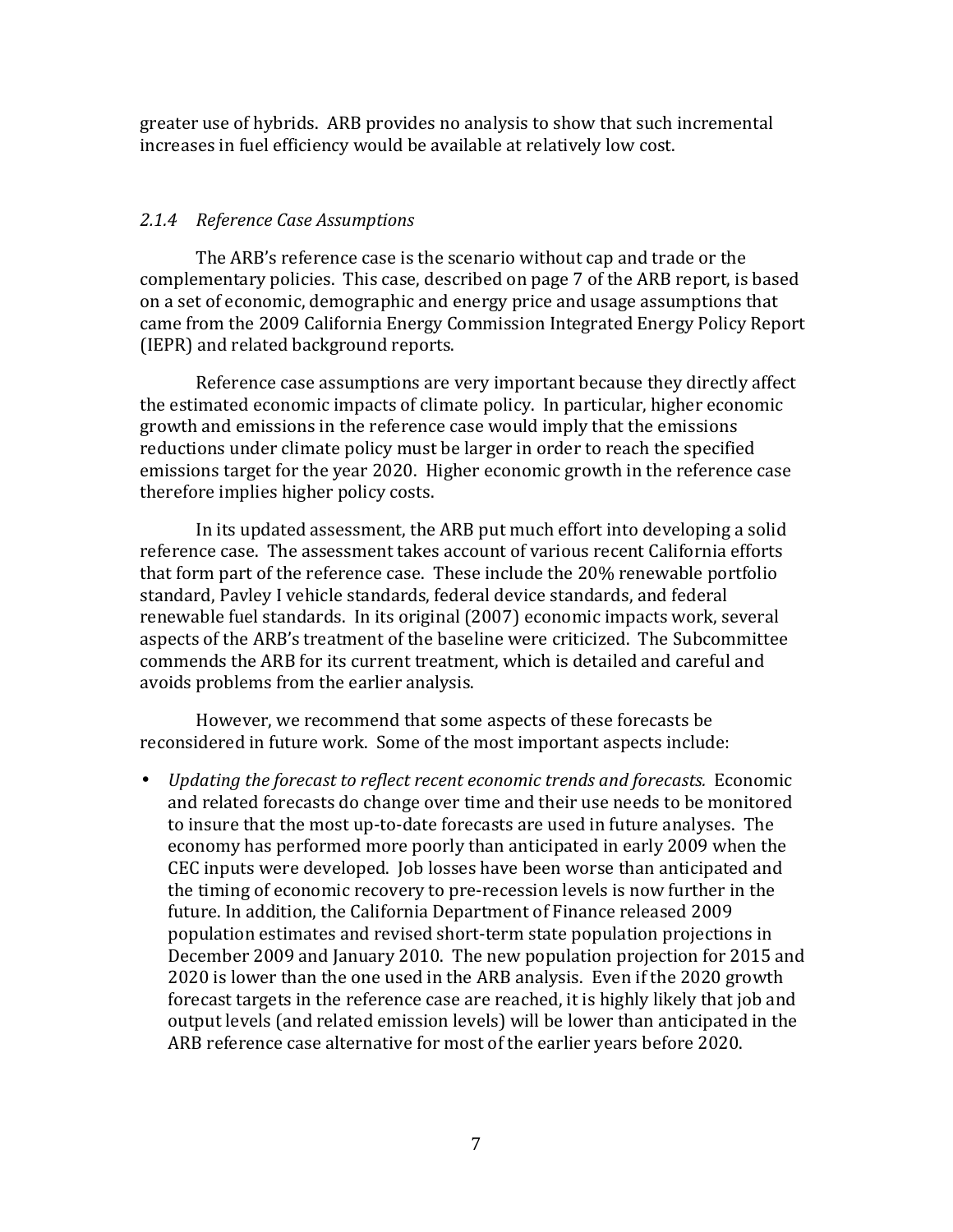greater use of hybrids. ARB provides no analysis to show that such incremental increases in fuel efficiency would be available at relatively low cost.

## 2.1.4 Reference Case Assumptions

 The ARB's reference case is the scenario without cap and trade or the complementary policies. This case, described on page 7 of the ARB report, is based on a set of economic, demographic and energy price and usage assumptions that came from the 2009 California Energy Commission Integrated Energy Policy Report (IEPR) and related background reports.

 Reference case assumptions are very important because they directly affect the estimated economic impacts of climate policy. In particular, higher economic growth and emissions in the reference case would imply that the emissions reductions under climate policy must be larger in order to reach the specified emissions target for the year 2020. Higher economic growth in the reference case therefore implies higher policy costs.

 In its updated assessment, the ARB put much effort into developing a solid reference case. The assessment takes account of various recent California efforts that form part of the reference case. These include the 20% renewable portfolio standard, Pavley I vehicle standards, federal device standards, and federal renewable fuel standards. In its original (2007) economic impacts work, several aspects of the ARB's treatment of the baseline were criticized. The Subcommittee commends the ARB for its current treatment, which is detailed and careful and avoids problems from the earlier analysis.

 However, we recommend that some aspects of these forecasts be reconsidered in future work. Some of the most important aspects include:

 • Updating the forecast to reflect recent economic trends and forecasts. Economic and related forecasts do change over time and their use needs to be monitored to insure that the most up-to-date forecasts are used in future analyses. The economy has performed more poorly than anticipated in early 2009 when the CEC inputs were developed. Job losses have been worse than anticipated and the timing of economic recovery to pre-recession levels is now further in the future. In addition, the California Department of Finance released 2009 population estimates and revised short-term state population projections in December 2009 and January 2010. The new population projection for 2015 and 2020 is lower than the one used in the ARB analysis. Even if the 2020 growth forecast targets in the reference case are reached, it is highly likely that job and output levels (and related emission levels) will be lower than anticipated in the ARB reference case alternative for most of the earlier years before 2020.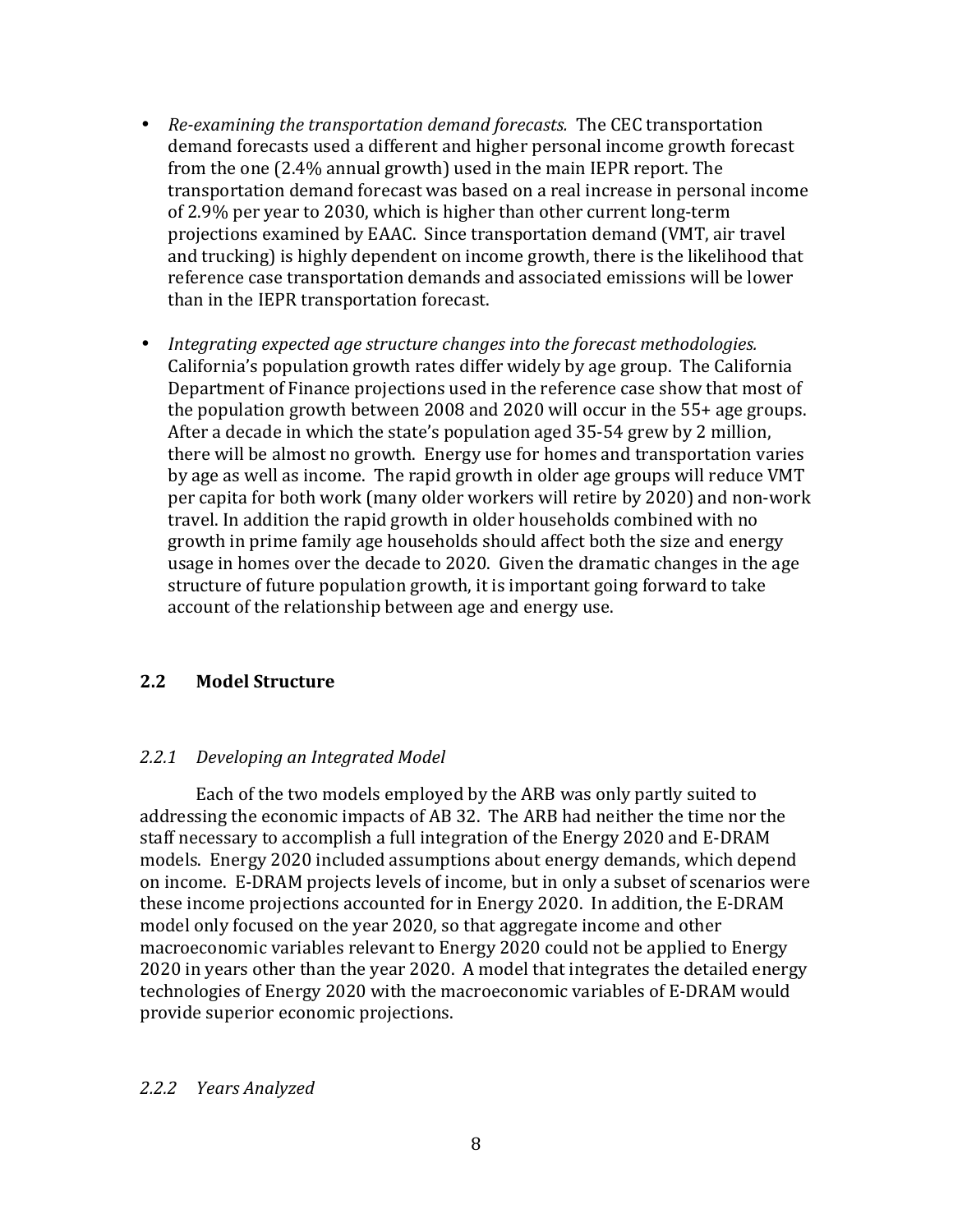- Re-examining the transportation demand forecasts. The CEC transportation demand forecasts used a different and higher personal income growth forecast from the one (2.4% annual growth) used in the main IEPR report. The transportation demand forecast was based on a real increase in personal income of 2.9% per year to 2030, which is higher than other current long-term projections examined by EAAC. Since transportation demand (VMT, air travel and trucking) is highly dependent on income growth, there is the likelihood that reference case transportation demands and associated emissions will be lower than in the IEPR transportation forecast.
- • Integrating expected age structure changes into the forecast methodologies. California's population growth rates differ widely by age group. The California Department of Finance projections used in the reference case show that most of the population growth between 2008 and 2020 will occur in the 55+ age groups. After a decade in which the state's population aged 35-54 grew by 2 million, there will be almost no growth. Energy use for homes and transportation varies by age as well as income. The rapid growth in older age groups will reduce VMT per capita for both work (many older workers will retire by 2020) and non-work travel. In addition the rapid growth in older households combined with no growth in prime family age households should affect both the size and energy usage in homes over the decade to 2020. Given the dramatic changes in the age structure of future population growth, it is important going forward to take account of the relationship between age and energy use.

#### $2.2$ **Model Structure**

## 2.2.1 Developing an Integrated Model

 Each of the two models employed by the ARB was only partly suited to addressing the economic impacts of AB 32. The ARB had neither the time nor the staff necessary to accomplish a full integration of the Energy 2020 and E-DRAM models. Energy 2020 included assumptions about energy demands, which depend on income. E-DRAM projects levels of income, but in only a subset of scenarios were these income projections accounted for in Energy 2020. In addition, the E-DRAM model only focused on the year 2020, so that aggregate income and other macroeconomic variables relevant to Energy 2020 could not be applied to Energy 2020 in years other than the year 2020. A model that integrates the detailed energy technologies of Energy 2020 with the macroeconomic variables of E-DRAM would provide superior economic projections.

## 2.2.2 Years Analyzed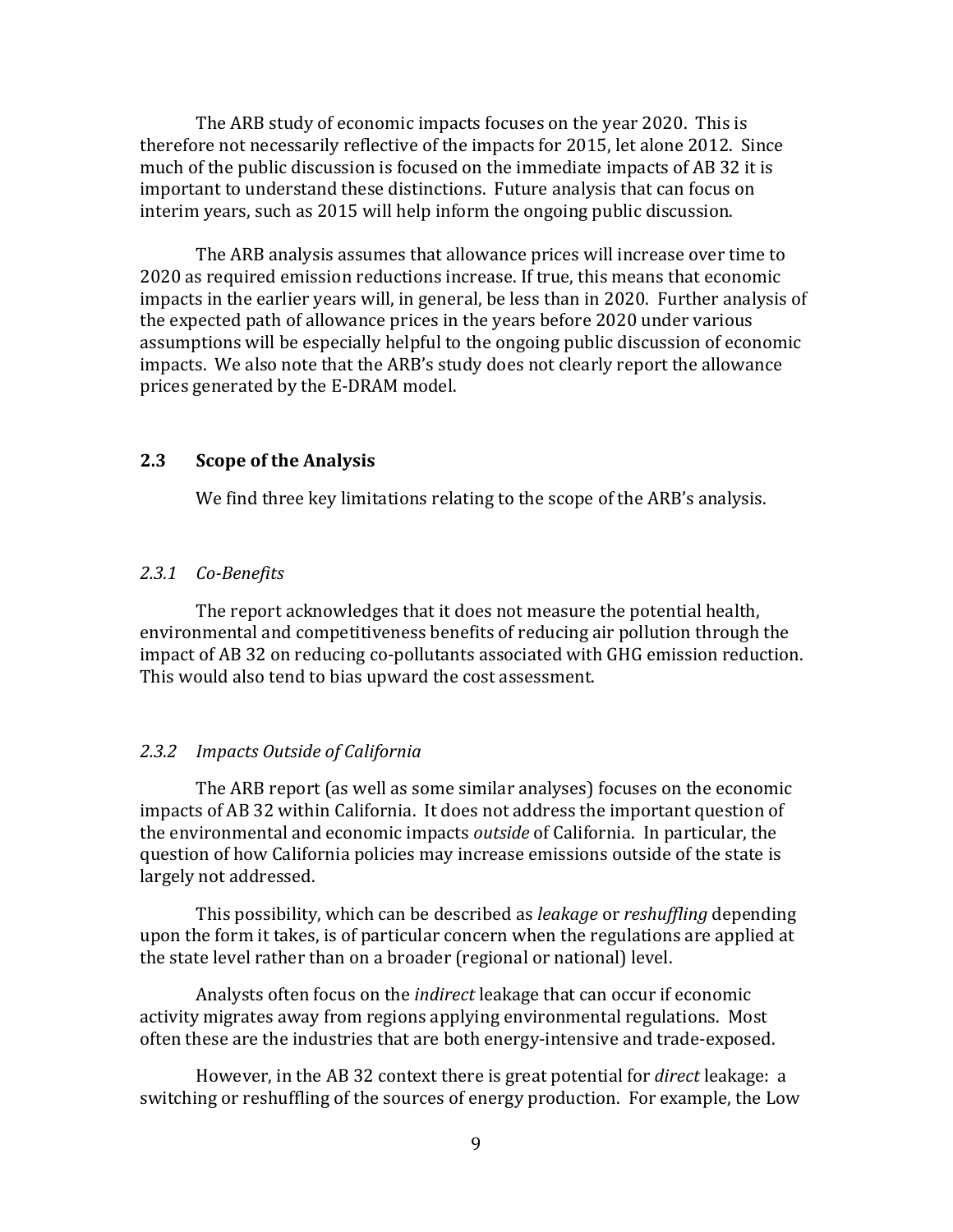The ARB study of economic impacts focuses on the year 2020. This is therefore not necessarily reflective of the impacts for 2015, let alone 2012. Since much of the public discussion is focused on the immediate impacts of AB 32 it is important to understand these distinctions. Future analysis that can focus on interim years, such as 2015 will help inform the ongoing public discussion.

 The ARB analysis assumes that allowance prices will increase over time to 2020 as required emission reductions increase. If true, this means that economic impacts in the earlier years will, in general, be less than in 2020. Further analysis of the expected path of allowance prices in the years before 2020 under various assumptions will be especially helpful to the ongoing public discussion of economic impacts. We also note that the ARB's study does not clearly report the allowance prices generated by the E-DRAM model.

#### 2.3 **Scope of the Analysis**

We find three key limitations relating to the scope of the ARB's analysis.

## 2.3.1 Co-Benefits

 environmental and competitiveness benefits of reducing air pollution through the impact of AB 32 on reducing co-pollutants associated with GHG emission reduction. This would also tend to bias upward the cost assessment. The report acknowledges that it does not measure the potential health,

### 2.3.2 Impacts Outside of California

 The ARB report (as well as some similar analyses) focuses on the economic impacts of AB 32 within California. It does not address the important question of the environmental and economic impacts outside of California. In particular, the question of how California policies may increase emissions outside of the state is largely not addressed.

This possibility, which can be described as leakage or reshuffling depending upon the form it takes, is of particular concern when the regulations are applied at the state level rather than on a broader (regional or national) level.

Analysts often focus on the *indirect* leakage that can occur if economic activity migrates away from regions applying environmental regulations. Most often these are the industries that are both energy-intensive and trade-exposed.

However, in the AB 32 context there is great potential for *direct* leakage: a switching or reshuffling of the sources of energy production. For example, the Low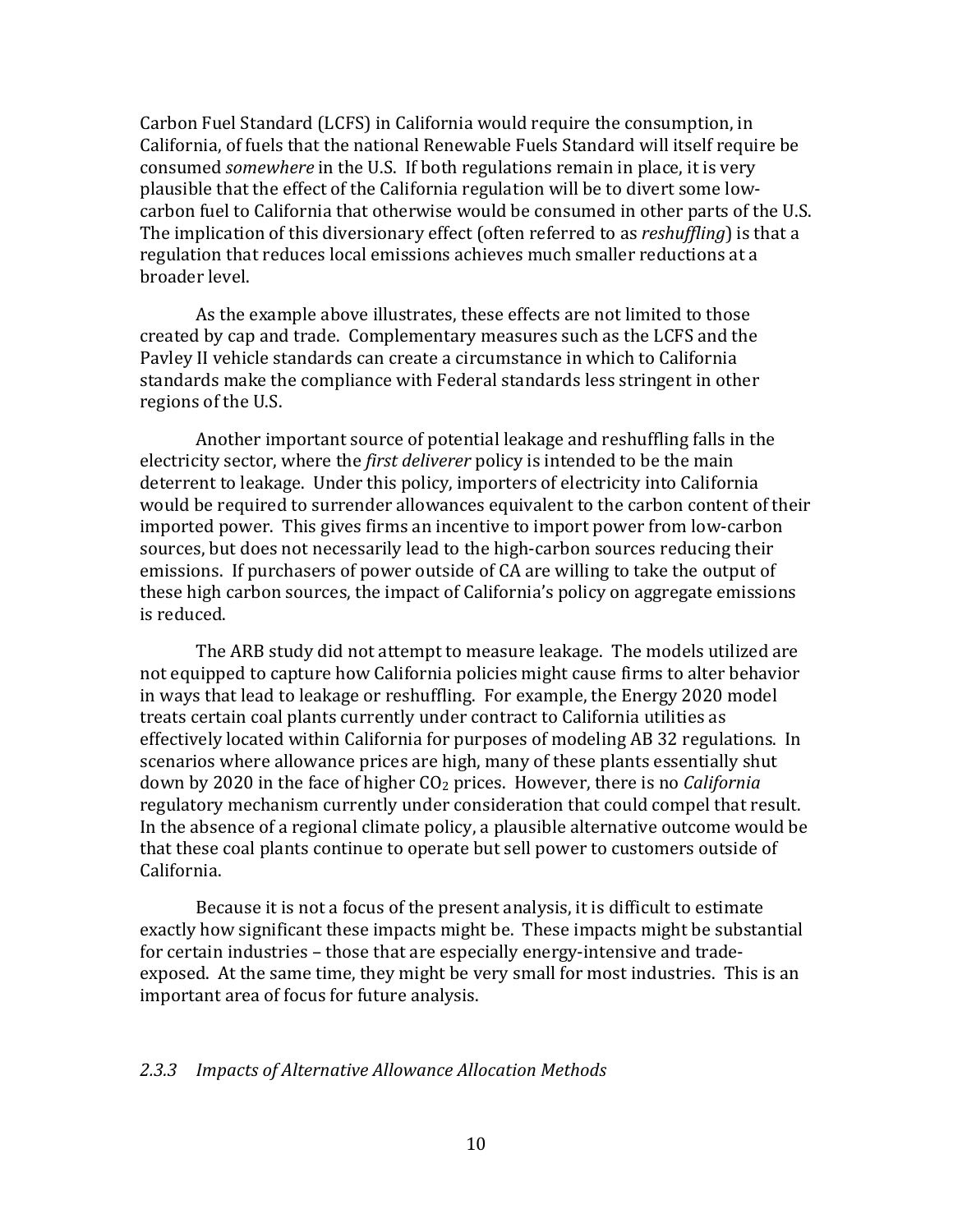Carbon Fuel Standard (LCFS) in California would require the consumption, in California, of fuels that the national Renewable Fuels Standard will itself require be consumed somewhere in the U.S. If both regulations remain in place, it is very plausible that the effect of the California regulation will be to divert some low- carbon fuel to California that otherwise would be consumed in other parts of the U.S. The implication of this diversionary effect (often referred to as *reshuffling*) is that a regulation that reduces local emissions achieves much smaller reductions at a broader level.

 As the example above illustrates, these effects are not limited to those created by cap and trade. Complementary measures such as the LCFS and the Pavley II vehicle standards can create a circumstance in which to California standards make the compliance with Federal standards less stringent in other regions of the U.S.

 Another important source of potential leakage and reshuffling falls in the electricity sector, where the *first deliverer* policy is intended to be the main deterrent to leakage. Under this policy, importers of electricity into California would be required to surrender allowances equivalent to the carbon content of their imported power. This gives firms an incentive to import power from low-carbon sources, but does not necessarily lead to the high-carbon sources reducing their emissions. If purchasers of power outside of CA are willing to take the output of these high carbon sources, the impact of California's policy on aggregate emissions is reduced.

 The ARB study did not attempt to measure leakage. The models utilized are not equipped to capture how California policies might cause firms to alter behavior in ways that lead to leakage or reshuffling. For example, the Energy 2020 model treats certain coal plants currently under contract to California utilities as effectively located within California for purposes of modeling AB 32 regulations. In scenarios where allowance prices are high, many of these plants essentially shut down by 2020 in the face of higher  $CO<sub>2</sub>$  prices. However, there is no *California*  regulatory mechanism currently under consideration that could compel that result. In the absence of a regional climate policy, a plausible alternative outcome would be that these coal plants continue to operate but sell power to customers outside of California.

 Because it is not a focus of the present analysis, it is difficult to estimate exactly how significant these impacts might be. These impacts might be substantial for certain industries – those that are especially energy-intensive and trade- exposed. At the same time, they might be very small for most industries. This is an important area of focus for future analysis.

## 2.3.3 Impacts of Alternative Allowance Allocation Methods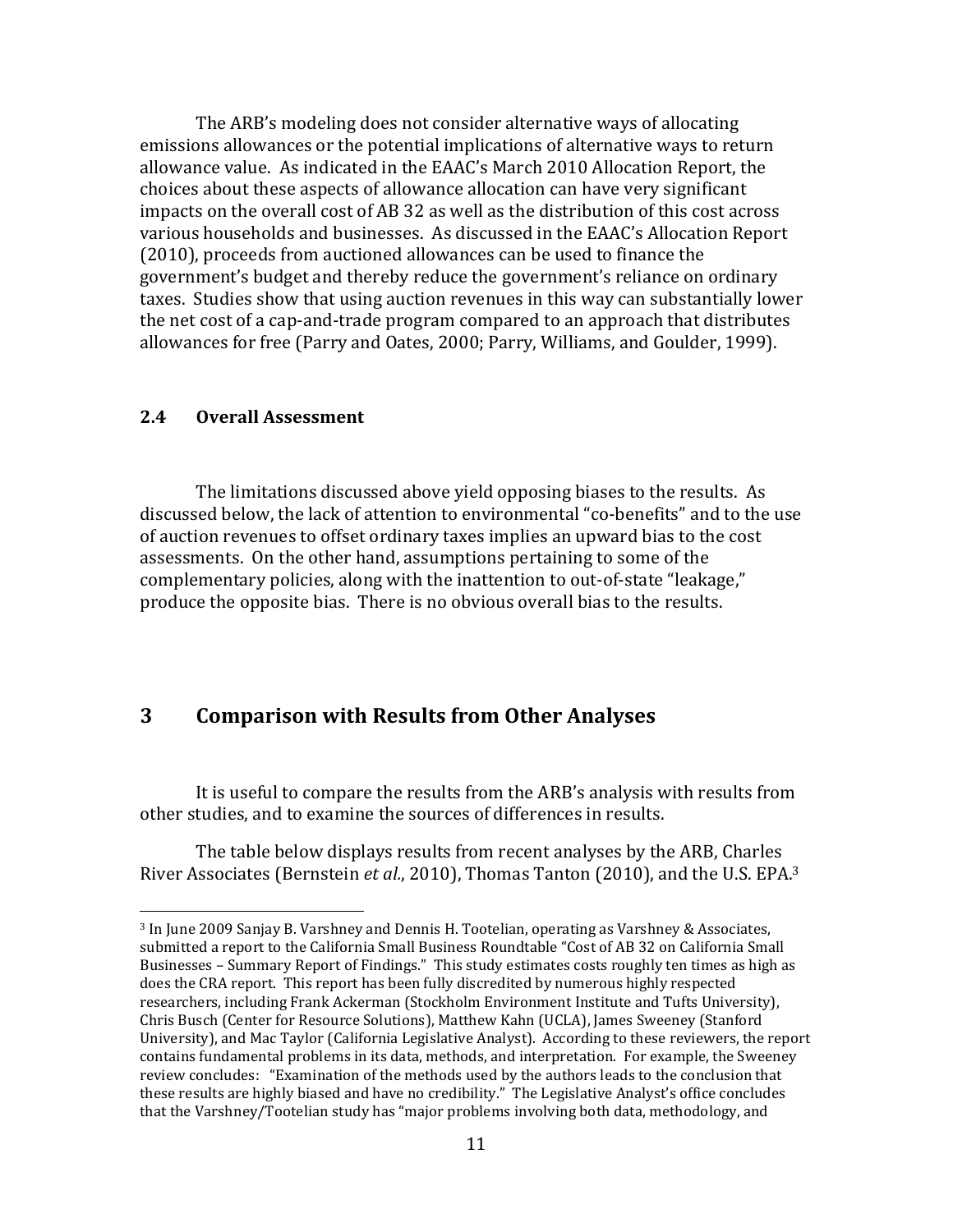The ARB's modeling does not consider alternative ways of allocating emissions allowances or the potential implications of alternative ways to return allowance value. As indicated in the EAAC's March 2010 Allocation Report, the choices about these aspects of allowance allocation can have very significant impacts on the overall cost of AB 32 as well as the distribution of this cost across various households and businesses. As discussed in the EAAC's Allocation Report (2010), proceeds from auctioned allowances can be used to finance the government's budget and thereby reduce the government's reliance on ordinary taxes. Studies show that using auction revenues in this way can substantially lower the net cost of a cap-and-trade program compared to an approach that distributes allowances for free (Parry and Oates, 2000; Parry, Williams, and Goulder, 1999).

#### $2.4$ **Overall Assessment**

 $\overline{a}$ 

 The limitations discussed above yield opposing biases to the results. As discussed below, the lack of attention to environmental "co-benefits" and to the use of auction revenues to offset ordinary taxes implies an upward bias to the cost assessments. On the other hand, assumptions pertaining to some of the complementary policies, along with the inattention to out-of-state "leakage," produce the opposite bias. There is no obvious overall bias to the results.

## 3 Comparison with Results from Other Analyses

 other studies, and to examine the sources of differences in results. It is useful to compare the results from the ARB's analysis with results from

River Associates (Bernstein et al., 2010), Thomas Tanton (2010), and the U.S. EPA.<sup>3</sup> The table below displays results from recent analyses by the ARB, Charles

 <sup>3</sup> In June 2009 Sanjay B. Varshney and Dennis H. Tootelian, operating as Varshney & Associates, submitted a report to the California Small Business Roundtable "Cost of AB 32 on California Small Businesses – Summary Report of Findings." This study estimates costs roughly ten times as high as does the CRA report. This report has been fully discredited by numerous highly respected researchers, including Frank Ackerman (Stockholm Environment Institute and Tufts University), Chris Busch (Center for Resource Solutions), Matthew Kahn (UCLA), James Sweeney (Stanford University), and Mac Taylor (California Legislative Analyst). According to these reviewers, the report contains fundamental problems in its data, methods, and interpretation. For example, the Sweeney review concludes: "Examination of the methods used by the authors leads to the conclusion that these results are highly biased and have no credibility." The Legislative Analyst's office concludes that the Varshney/Tootelian study has "major problems involving both data, methodology, and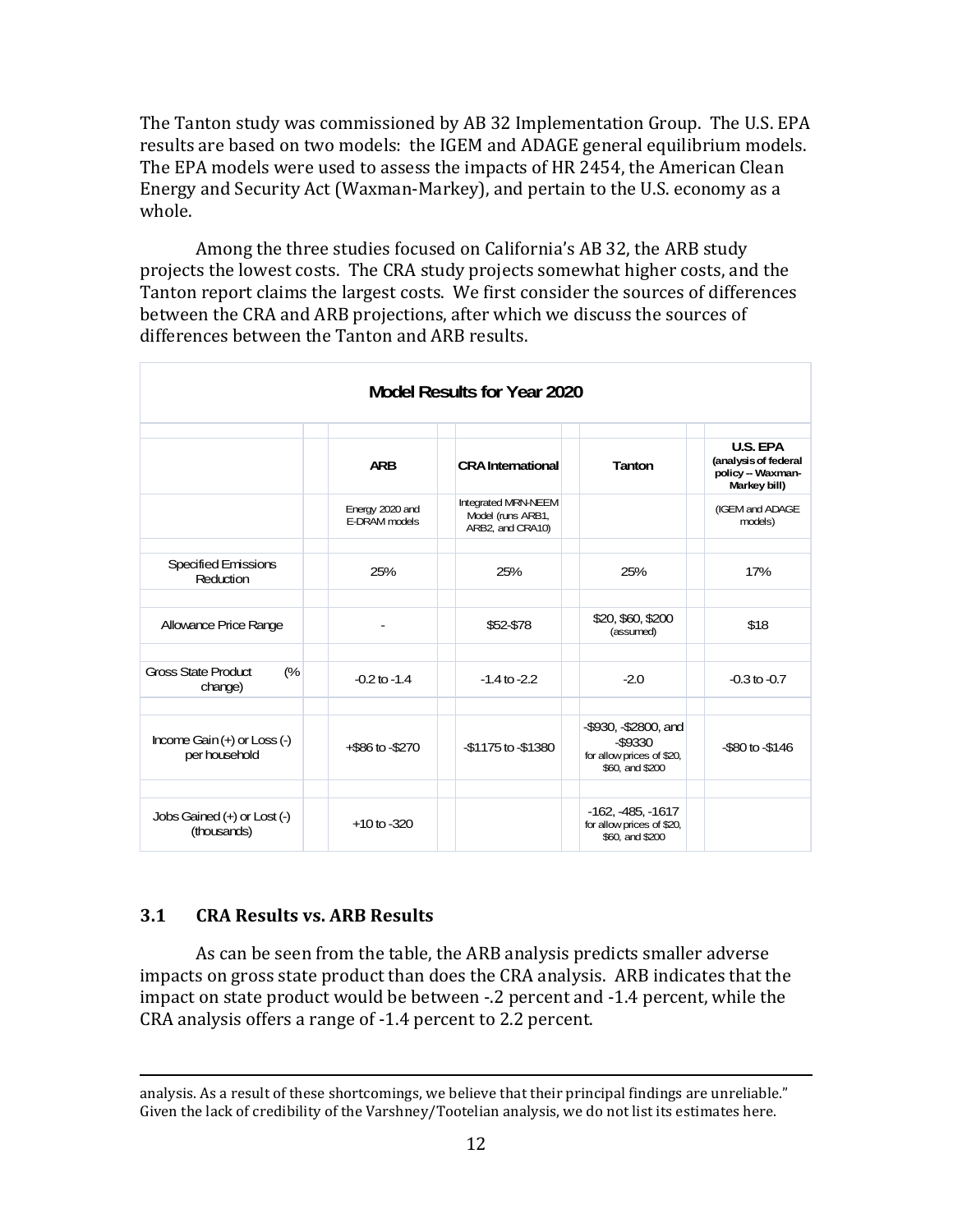The Tanton study was commissioned by AB 32 Implementation Group. The U.S. EPA results are based on two models: the IGEM and ADAGE general equilibrium models. The EPA models were used to assess the impacts of HR 2454, the American Clean Energy and Security Act (Waxman-Markey), and pertain to the U.S. economy as a whole.

 Among the three studies focused on California's AB 32, the ARB study projects the lowest costs. The CRA study projects somewhat higher costs, and the Tanton report claims the largest costs. We first consider the sources of differences between the CRA and ARB projections, after which we discuss the sources of differences between the Tanton and ARB results.

| Model Results for Year 2020                      |                                  |                                                                     |                                                                                          |                                                                             |  |  |  |  |
|--------------------------------------------------|----------------------------------|---------------------------------------------------------------------|------------------------------------------------------------------------------------------|-----------------------------------------------------------------------------|--|--|--|--|
|                                                  | <b>ARB</b>                       | <b>CRA</b> International                                            | Tanton                                                                                   | <b>U.S. EPA</b><br>(analysis of federal<br>policy - Waxman-<br>Markey bill) |  |  |  |  |
|                                                  | Energy 2020 and<br>E-DRAM models | <b>Integrated MRN-NEEM</b><br>Model (runs ARB1,<br>ARB2, and CRA10) |                                                                                          | (IGEM and ADAGE<br>models)                                                  |  |  |  |  |
| Specified Emissions<br>Reduction                 | 25%                              | 25%                                                                 | 25%                                                                                      | 17%                                                                         |  |  |  |  |
| Allowance Price Range                            |                                  | \$52-\$78                                                           | \$20, \$60, \$200<br>(assumed)                                                           | \$18                                                                        |  |  |  |  |
| <b>Gross State Product</b><br>(%<br>change)      | $-0.2$ to $-1.4$                 | $-1.4$ to $-2.2$                                                    | $-2.0$                                                                                   | $-0.3$ to $-0.7$                                                            |  |  |  |  |
| Income Gain $(+)$ or Loss $(-)$<br>per household | +\$86 to -\$270                  | -\$1175 to -\$1380                                                  | $-$ \$930, $-$ \$2800, and<br>$-$ \$9330<br>for allow prices of \$20,<br>\$60, and \$200 | $-$ \$80 to $-$ \$146                                                       |  |  |  |  |
| Jobs Gained (+) or Lost (-)<br>(thousands)       | $+10$ to $-320$                  |                                                                     | $-162, -485, -1617$<br>for allow prices of \$20,<br>\$60, and \$200                      |                                                                             |  |  |  |  |

#### $3.1$ 3.1 CRA Results vs. ARB Results

 As can be seen from the table, the ARB analysis predicts smaller adverse impacts on gross state product than does the CRA analysis. ARB indicates that the impact on state product would be between -.2 percent and -1.4 percent, while the CRA analysis offers a range of -1.4 percent to 2.2 percent.

<sup>&</sup>lt;u>.</u> analysis. As a result of these shortcomings, we believe that their principal findings are unreliable." Given the lack of credibility of the Varshney/Tootelian analysis, we do not list its estimates here.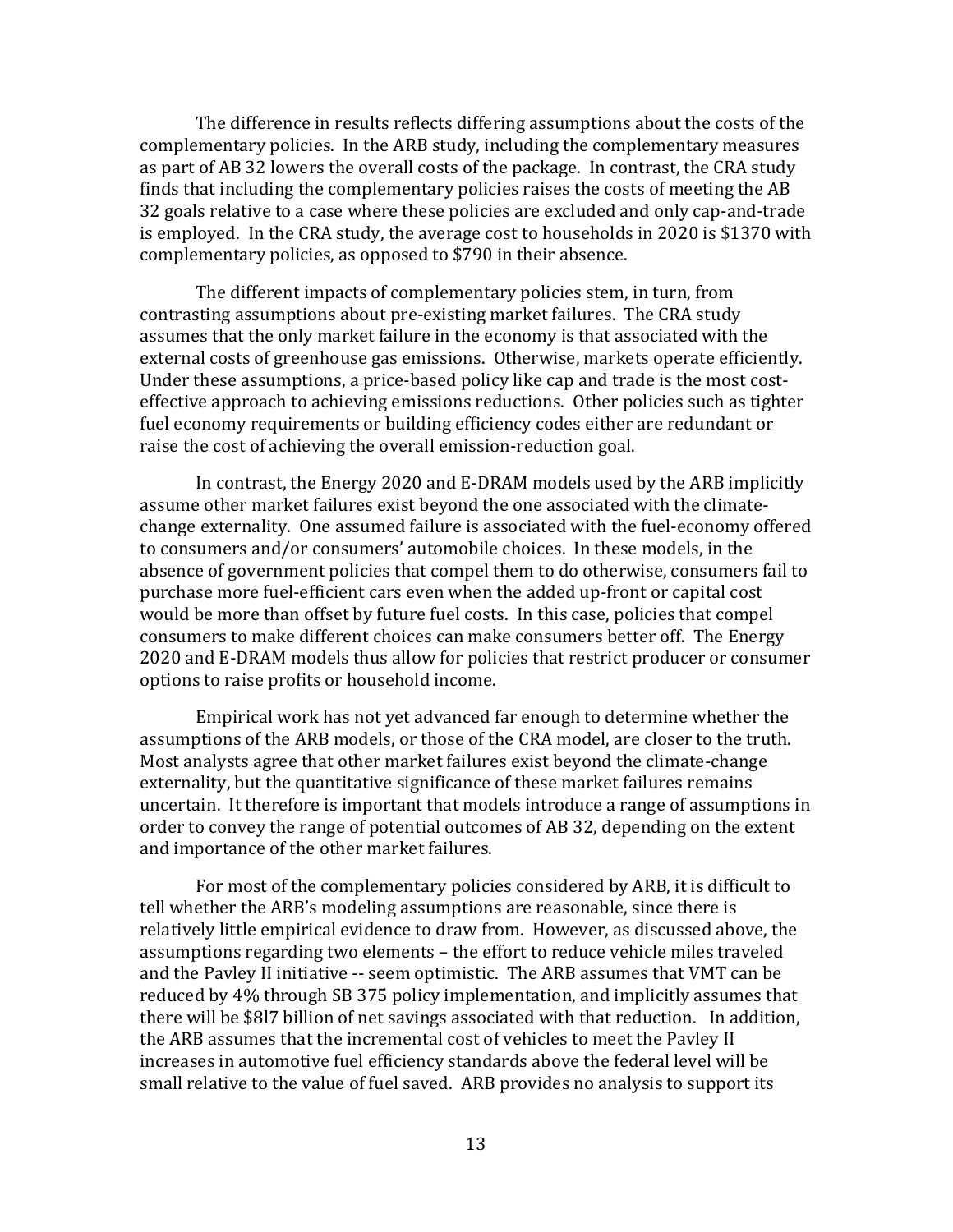The difference in results reflects differing assumptions about the costs of the complementary policies. In the ARB study, including the complementary measures as part of AB 32 lowers the overall costs of the package. In contrast, the CRA study finds that including the complementary policies raises the costs of meeting the AB 32 goals relative to a case where these policies are excluded and only cap-and-trade is employed. In the CRA study, the average cost to households in 2020 is \$1370 with complementary policies, as opposed to \$790 in their absence.

 The different impacts of complementary policies stem, in turn, from contrasting assumptions about pre-existing market failures. The CRA study assumes that the only market failure in the economy is that associated with the external costs of greenhouse gas emissions. Otherwise, markets operate efficiently. Under these assumptions, a price-based policy like cap and trade is the most cost- effective approach to achieving emissions reductions. Other policies such as tighter fuel economy requirements or building efficiency codes either are redundant or raise the cost of achieving the overall emission-reduction goal.

 In contrast, the Energy 2020 and E-DRAM models used by the ARB implicitly assume other market failures exist beyond the one associated with the climate- change externality. One assumed failure is associated with the fuel-economy offered to consumers and/or consumers' automobile choices. In these models, in the absence of government policies that compel them to do otherwise, consumers fail to purchase more fuel-efficient cars even when the added up-front or capital cost would be more than offset by future fuel costs. In this case, policies that compel consumers to make different choices can make consumers better off. The Energy 2020 and E-DRAM models thus allow for policies that restrict producer or consumer options to raise profits or household income.

 Empirical work has not yet advanced far enough to determine whether the assumptions of the ARB models, or those of the CRA model, are closer to the truth. Most analysts agree that other market failures exist beyond the climate-change externality, but the quantitative significance of these market failures remains uncertain. It therefore is important that models introduce a range of assumptions in order to convey the range of potential outcomes of AB 32, depending on the extent and importance of the other market failures.

 For most of the complementary policies considered by ARB, it is difficult to tell whether the ARB's modeling assumptions are reasonable, since there is relatively little empirical evidence to draw from. However, as discussed above, the assumptions regarding two elements – the effort to reduce vehicle miles traveled and the Pavley II initiative -- seem optimistic. The ARB assumes that VMT can be reduced by 4% through SB 375 policy implementation, and implicitly assumes that there will be \$8l7 billion of net savings associated with that reduction. In addition, the ARB assumes that the incremental cost of vehicles to meet the Pavley II increases in automotive fuel efficiency standards above the federal level will be small relative to the value of fuel saved. ARB provides no analysis to support its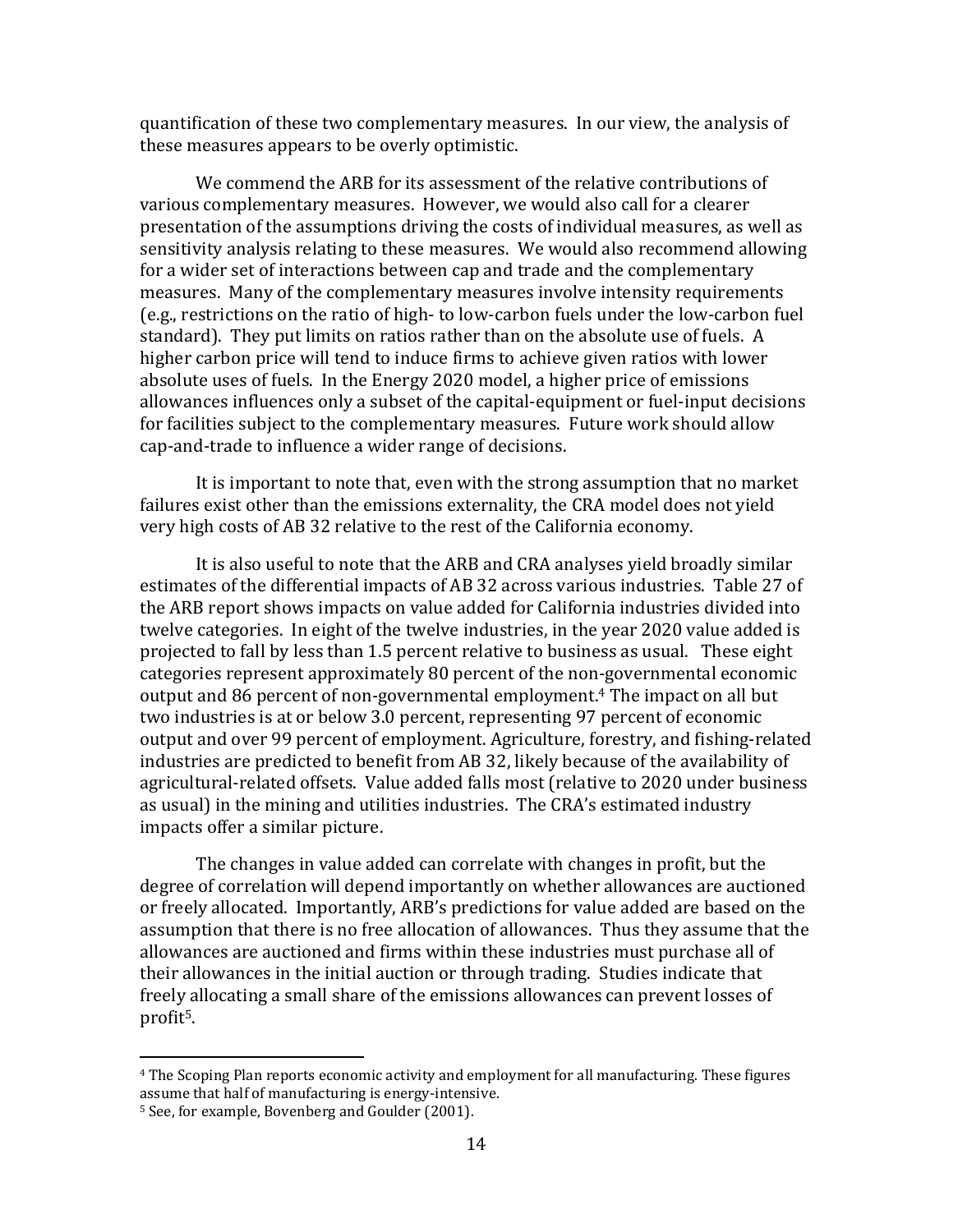quantification of these two complementary measures. In our view, the analysis of these measures appears to be overly optimistic.

 We commend the ARB for its assessment of the relative contributions of various complementary measures. However, we would also call for a clearer presentation of the assumptions driving the costs of individual measures, as well as sensitivity analysis relating to these measures. We would also recommend allowing for a wider set of interactions between cap and trade and the complementary measures. Many of the complementary measures involve intensity requirements (e.g., restrictions on the ratio of high- to low-carbon fuels under the low-carbon fuel standard). They put limits on ratios rather than on the absolute use of fuels. A higher carbon price will tend to induce firms to achieve given ratios with lower absolute uses of fuels. In the Energy 2020 model, a higher price of emissions allowances influences only a subset of the capital-equipment or fuel-input decisions for facilities subject to the complementary measures. Future work should allow cap-and-trade to influence a wider range of decisions.

 It is important to note that, even with the strong assumption that no market failures exist other than the emissions externality, the CRA model does not yield very high costs of AB 32 relative to the rest of the California economy.

 It is also useful to note that the ARB and CRA analyses yield broadly similar estimates of the differential impacts of AB 32 across various industries. Table 27 of the ARB report shows impacts on value added for California industries divided into twelve categories. In eight of the twelve industries, in the year 2020 value added is projected to fall by less than 1.5 percent relative to business as usual. These eight categories represent approximately 80 percent of the non-governmental economic output and 86 percent of non-governmental employment.4 The impact on all but two industries is at or below 3.0 percent, representing 97 percent of economic output and over 99 percent of employment. Agriculture, forestry, and fishing-related industries are predicted to benefit from AB 32, likely because of the availability of agricultural-related offsets. Value added falls most (relative to 2020 under business as usual) in the mining and utilities industries. The CRA's estimated industry impacts offer a similar picture.

 The changes in value added can correlate with changes in profit, but the degree of correlation will depend importantly on whether allowances are auctioned or freely allocated. Importantly, ARB's predictions for value added are based on the assumption that there is no free allocation of allowances. Thus they assume that the allowances are auctioned and firms within these industries must purchase all of their allowances in the initial auction or through trading. Studies indicate that freely allocating a small share of the emissions allowances can prevent losses of profit<sup>5</sup>. profit5. 4 The Scoping Plan reports economic activity and employment for all manufacturing. These figures

 $\overline{a}$ 

 assume that half of manufacturing is energy-intensive.

<sup>&</sup>lt;sup>5</sup> See, for example, Bovenberg and Goulder (2001).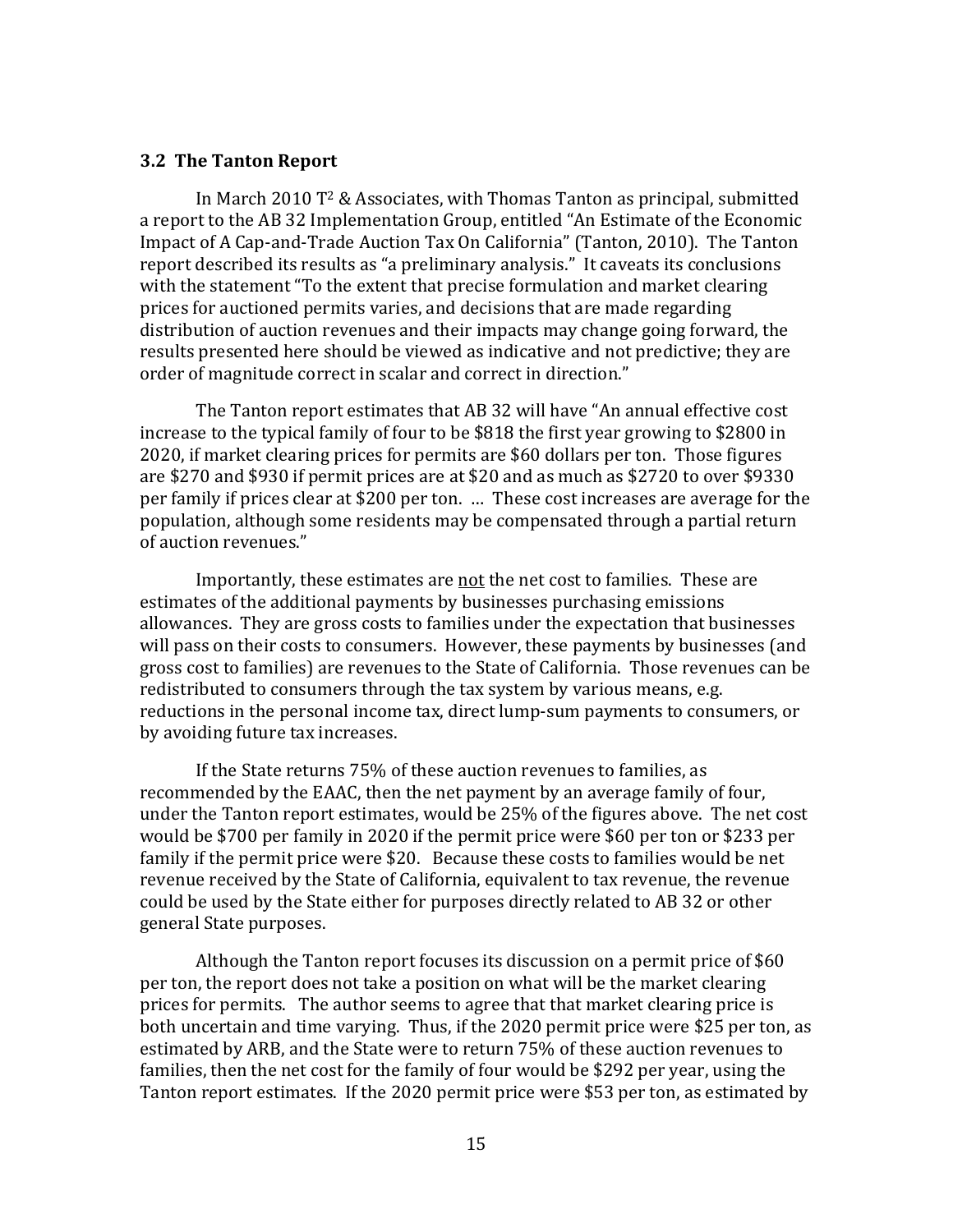## 3.2 The Tanton Report

 In March 2010 T2 & Associates, with Thomas Tanton as principal, submitted a report to the AB 32 Implementation Group, entitled "An Estimate of the Economic Impact of A Cap-and-Trade Auction Tax On California" (Tanton, 2010). The Tanton report described its results as "a preliminary analysis." It caveats its conclusions with the statement "To the extent that precise formulation and market clearing prices for auctioned permits varies, and decisions that are made regarding distribution of auction revenues and their impacts may change going forward, the results presented here should be viewed as indicative and not predictive; they are order of magnitude correct in scalar and correct in direction."

 The Tanton report estimates that AB 32 will have "An annual effective cost increase to the typical family of four to be \$818 the first year growing to \$2800 in 2020, if market clearing prices for permits are \$60 dollars per ton. Those figures are \$270 and \$930 if permit prices are at \$20 and as much as \$2720 to over \$9330 per family if prices clear at \$200 per ton. … These cost increases are average for the population, although some residents may be compensated through a partial return of auction revenues."

Importantly, these estimates are not the net cost to families. These are estimates of the additional payments by businesses purchasing emissions allowances. They are gross costs to families under the expectation that businesses will pass on their costs to consumers. However, these payments by businesses (and gross cost to families) are revenues to the State of California. Those revenues can be redistributed to consumers through the tax system by various means, e.g. reductions in the personal income tax, direct lump-sum payments to consumers, or by avoiding future tax increases.

 If the State returns 75% of these auction revenues to families, as recommended by the EAAC, then the net payment by an average family of four, under the Tanton report estimates, would be 25% of the figures above. The net cost would be \$700 per family in 2020 if the permit price were \$60 per ton or \$233 per family if the permit price were \$20. Because these costs to families would be net revenue received by the State of California, equivalent to tax revenue, the revenue could be used by the State either for purposes directly related to AB 32 or other general State purposes.

 Although the Tanton report focuses its discussion on a permit price of \$60 per ton, the report does not take a position on what will be the market clearing prices for permits. The author seems to agree that that market clearing price is both uncertain and time varying. Thus, if the 2020 permit price were \$25 per ton, as estimated by ARB, and the State were to return 75% of these auction revenues to families, then the net cost for the family of four would be \$292 per year, using the Tanton report estimates. If the 2020 permit price were \$53 per ton, as estimated by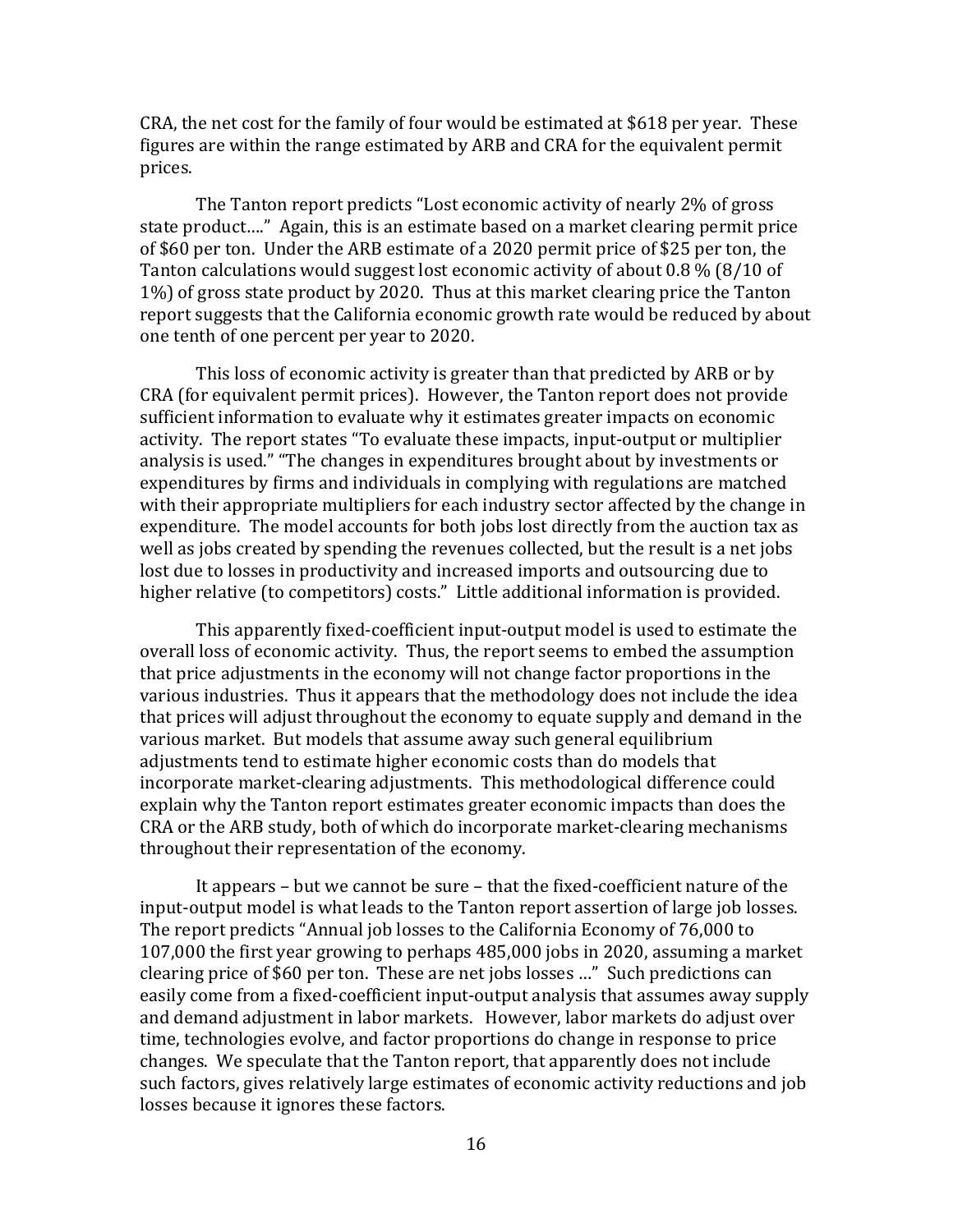CRA, the net cost for the family of four would be estimated at \$618 per year. These figures are within the range estimated by ARB and CRA for the equivalent permit prices.

 The Tanton report predicts "Lost economic activity of nearly 2% of gross state product…." Again, this is an estimate based on a market clearing permit price of \$60 per ton. Under the ARB estimate of a 2020 permit price of \$25 per ton, the Tanton calculations would suggest lost economic activity of about 0.8 % (8/10 of 1%) of gross state product by 2020. Thus at this market clearing price the Tanton report suggests that the California economic growth rate would be reduced by about one tenth of one percent per year to 2020.

 This loss of economic activity is greater than that predicted by ARB or by CRA (for equivalent permit prices). However, the Tanton report does not provide sufficient information to evaluate why it estimates greater impacts on economic activity. The report states "To evaluate these impacts, input-output or multiplier analysis is used." "The changes in expenditures brought about by investments or expenditures by firms and individuals in complying with regulations are matched with their appropriate multipliers for each industry sector affected by the change in expenditure. The model accounts for both jobs lost directly from the auction tax as well as jobs created by spending the revenues collected, but the result is a net jobs lost due to losses in productivity and increased imports and outsourcing due to higher relative (to competitors) costs." Little additional information is provided.

 This apparently fixed-coefficient input-output model is used to estimate the overall loss of economic activity. Thus, the report seems to embed the assumption that price adjustments in the economy will not change factor proportions in the various industries. Thus it appears that the methodology does not include the idea that prices will adjust throughout the economy to equate supply and demand in the various market. But models that assume away such general equilibrium adjustments tend to estimate higher economic costs than do models that incorporate market-clearing adjustments. This methodological difference could explain why the Tanton report estimates greater economic impacts than does the CRA or the ARB study, both of which do incorporate market-clearing mechanisms throughout their representation of the economy.

 It appears – but we cannot be sure – that the fixed-coefficient nature of the input-output model is what leads to the Tanton report assertion of large job losses. The report predicts "Annual job losses to the California Economy of 76,000 to 107,000 the first year growing to perhaps 485,000 jobs in 2020, assuming a market clearing price of \$60 per ton. These are net jobs losses …" Such predictions can easily come from a fixed-coefficient input-output analysis that assumes away supply and demand adjustment in labor markets. However, labor markets do adjust over time, technologies evolve, and factor proportions do change in response to price changes. We speculate that the Tanton report, that apparently does not include such factors, gives relatively large estimates of economic activity reductions and job losses because it ignores these factors.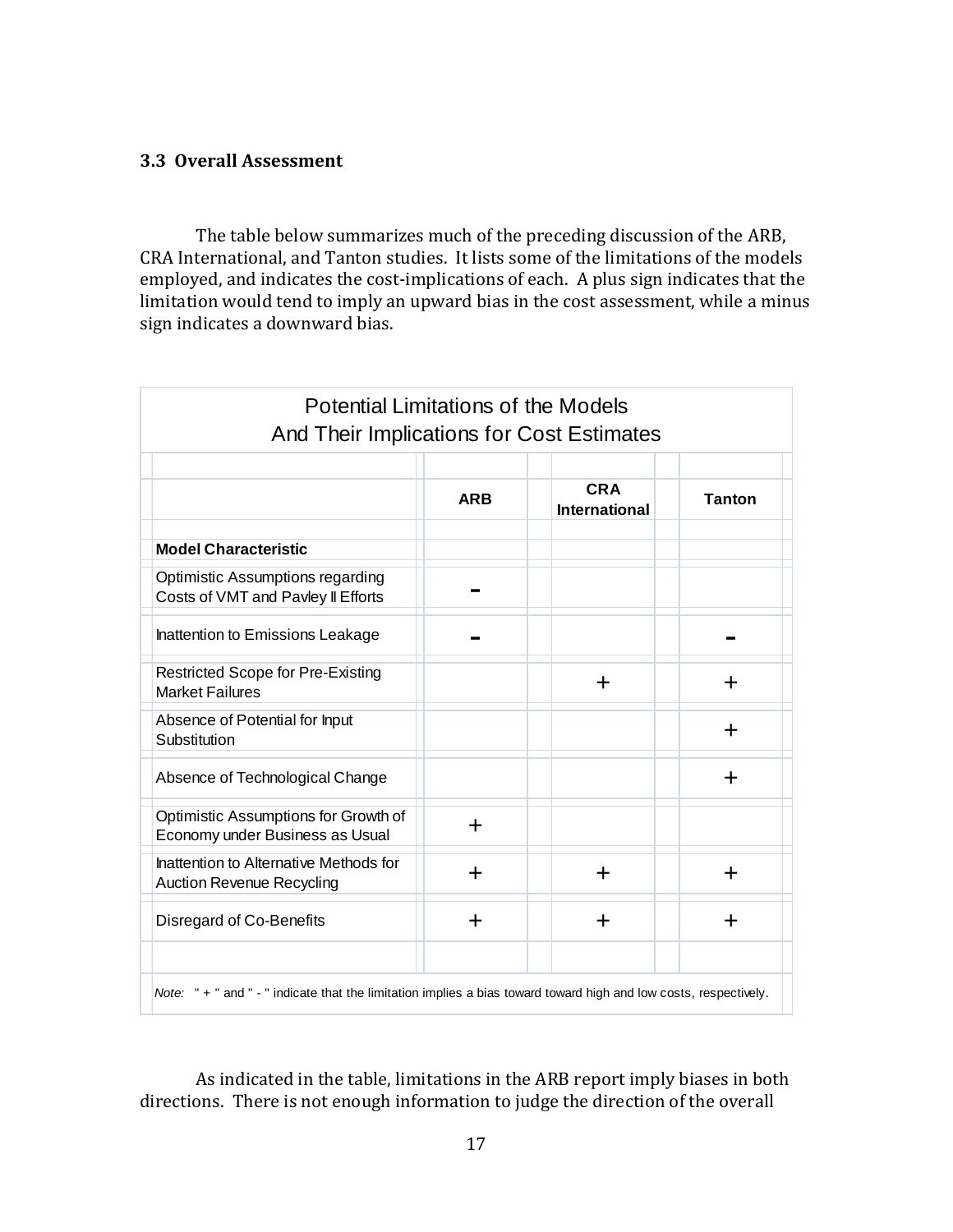## 3.3 Overall Assessment

 The table below summarizes much of the preceding discussion of the ARB, CRA International, and Tanton studies. It lists some of the limitations of the models employed, and indicates the cost-implications of each. A plus sign indicates that the limitation would tend to imply an upward bias in the cost assessment, while a minus sign indicates a downward bias.

| <b>Potential Limitations of the Models</b><br>And Their Implications for Cost Estimates                           |            |                                    |               |  |  |  |
|-------------------------------------------------------------------------------------------------------------------|------------|------------------------------------|---------------|--|--|--|
|                                                                                                                   |            |                                    |               |  |  |  |
|                                                                                                                   | <b>ARB</b> | <b>CRA</b><br><b>International</b> | <b>Tanton</b> |  |  |  |
| <b>Model Characteristic</b>                                                                                       |            |                                    |               |  |  |  |
| Optimistic Assumptions regarding<br>Costs of VMT and Pavley II Efforts                                            |            |                                    |               |  |  |  |
| Inattention to Emissions Leakage                                                                                  |            |                                    |               |  |  |  |
| <b>Restricted Scope for Pre-Existing</b><br><b>Market Failures</b>                                                |            | $\div$                             | ┿             |  |  |  |
| Absence of Potential for Input<br>Substitution                                                                    |            |                                    | ╈             |  |  |  |
| Absence of Technological Change                                                                                   |            |                                    | ┿             |  |  |  |
| Optimistic Assumptions for Growth of<br>Economy under Business as Usual                                           | $\ddag$    |                                    |               |  |  |  |
| Inattention to Alternative Methods for<br><b>Auction Revenue Recycling</b>                                        | $\div$     | $\div$                             | ╋             |  |  |  |
| Disregard of Co-Benefits                                                                                          | ╈          | $\div$                             | ┿             |  |  |  |
|                                                                                                                   |            |                                    |               |  |  |  |
| Note: " + " and " - " indicate that the limitation implies a bias toward toward high and low costs, respectively. |            |                                    |               |  |  |  |

 directions. There is not enough information to judge the direction of the overall As indicated in the table, limitations in the ARB report imply biases in both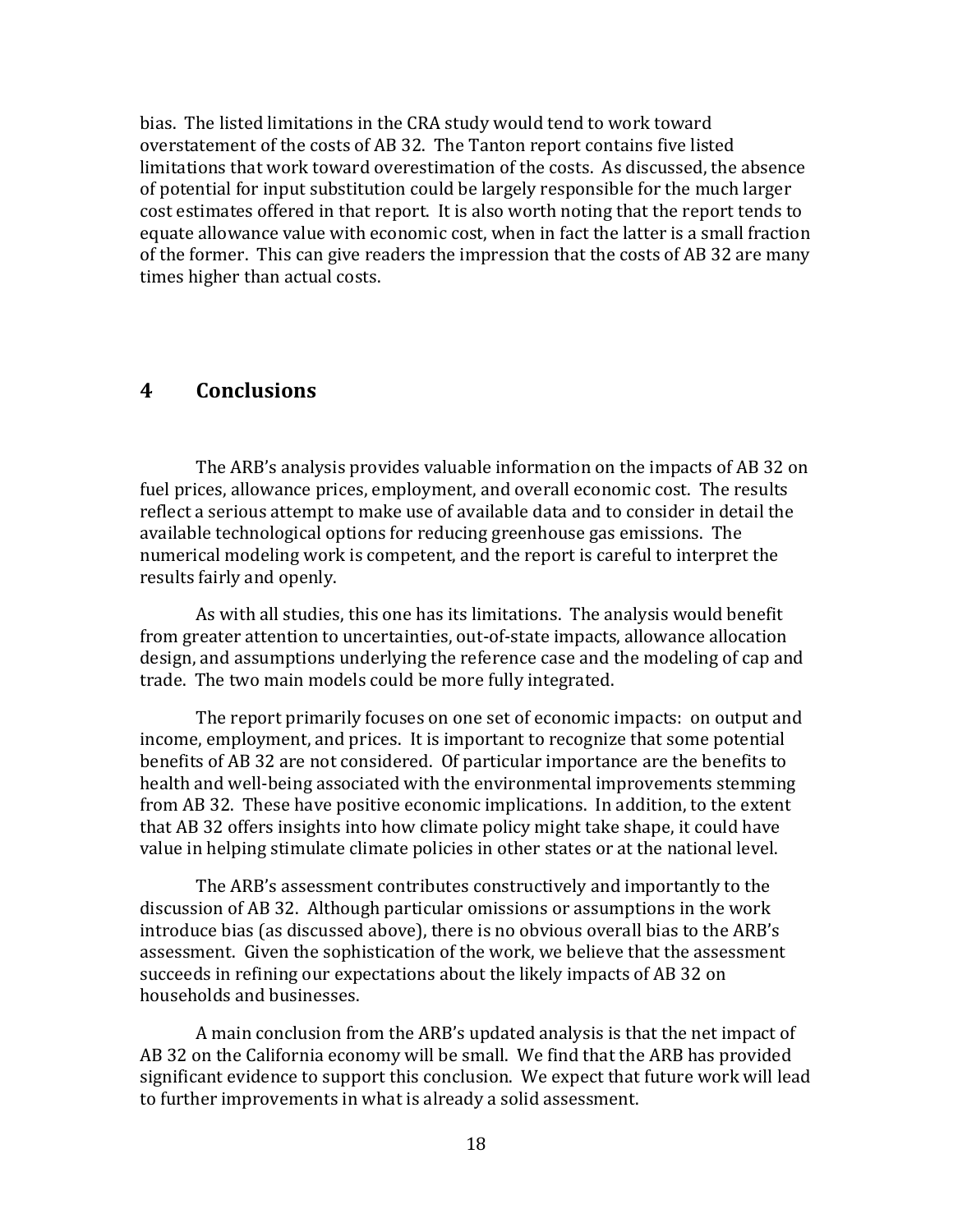bias. The listed limitations in the CRA study would tend to work toward overstatement of the costs of AB 32. The Tanton report contains five listed limitations that work toward overestimation of the costs. As discussed, the absence of potential for input substitution could be largely responsible for the much larger cost estimates offered in that report. It is also worth noting that the report tends to equate allowance value with economic cost, when in fact the latter is a small fraction of the former. This can give readers the impression that the costs of AB 32 are many times higher than actual costs.

#### 4 **Conclusions**

 fuel prices, allowance prices, employment, and overall economic cost. The results reflect a serious attempt to make use of available data and to consider in detail the available technological options for reducing greenhouse gas emissions. The numerical modeling work is competent, and the report is careful to interpret the results fairly and openly. The ARB's analysis provides valuable information on the impacts of AB 32 on

 As with all studies, this one has its limitations. The analysis would benefit from greater attention to uncertainties, out-of-state impacts, allowance allocation design, and assumptions underlying the reference case and the modeling of cap and trade. The two main models could be more fully integrated.

 The report primarily focuses on one set of economic impacts: on output and income, employment, and prices. It is important to recognize that some potential benefits of AB 32 are not considered. Of particular importance are the benefits to health and well-being associated with the environmental improvements stemming from AB 32. These have positive economic implications. In addition, to the extent that AB 32 offers insights into how climate policy might take shape, it could have value in helping stimulate climate policies in other states or at the national level.

 The ARB's assessment contributes constructively and importantly to the discussion of AB 32. Although particular omissions or assumptions in the work introduce bias (as discussed above), there is no obvious overall bias to the ARB's assessment. Given the sophistication of the work, we believe that the assessment succeeds in refining our expectations about the likely impacts of AB 32 on households and businesses.

 A main conclusion from the ARB's updated analysis is that the net impact of AB 32 on the California economy will be small. We find that the ARB has provided significant evidence to support this conclusion. We expect that future work will lead to further improvements in what is already a solid assessment.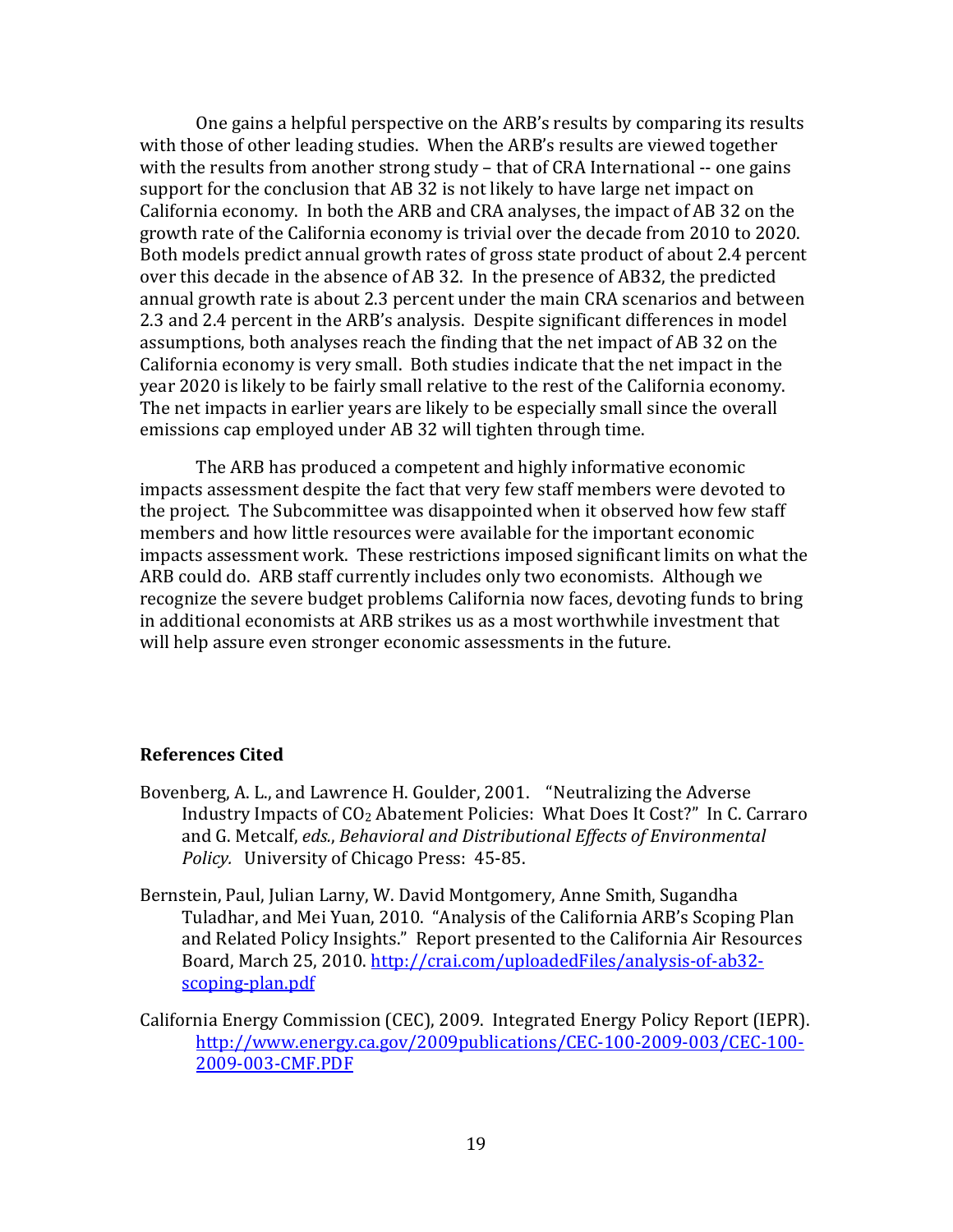One gains a helpful perspective on the ARB's results by comparing its results with those of other leading studies. When the ARB's results are viewed together with the results from another strong study – that of CRA International -- one gains support for the conclusion that AB 32 is not likely to have large net impact on California economy. In both the ARB and CRA analyses, the impact of AB 32 on the growth rate of the California economy is trivial over the decade from 2010 to 2020. Both models predict annual growth rates of gross state product of about 2.4 percent over this decade in the absence of AB 32. In the presence of AB32, the predicted annual growth rate is about 2.3 percent under the main CRA scenarios and between 2.3 and 2.4 percent in the ARB's analysis. Despite significant differences in model assumptions, both analyses reach the finding that the net impact of AB 32 on the California economy is very small. Both studies indicate that the net impact in the year 2020 is likely to be fairly small relative to the rest of the California economy. The net impacts in earlier years are likely to be especially small since the overall emissions cap employed under AB 32 will tighten through time.

 The ARB has produced a competent and highly informative economic impacts assessment despite the fact that very few staff members were devoted to the project. The Subcommittee was disappointed when it observed how few staff members and how little resources were available for the important economic impacts assessment work. These restrictions imposed significant limits on what the ARB could do. ARB staff currently includes only two economists. Although we recognize the severe budget problems California now faces, devoting funds to bring in additional economists at ARB strikes us as a most worthwhile investment that will help assure even stronger economic assessments in the future.

## References Cited

- Bovenberg, A. L., and Lawrence H. Goulder, 2001. "Neutralizing the Adverse Industry Impacts of CO2 Abatement Policies: What Does It Cost?" In C. Carraro and G. Metcalf, eds., Behavioral and Distributional Effects of Environmental Policy. University of Chicago Press: 45-85.
- Bernstein, Paul, Julian Larny, W. David Montgomery, Anne Smith, Sugandha Tuladhar, and Mei Yuan, 2010. "Analysis of the California ARB's Scoping Plan and Related Policy Insights." Report presented to the California Air Resources Board, March 25, 2010. <http://crai.com/uploadedFiles/analysis-of-ab32>scoping-plan.pdf
- California Energy Commission (CEC), 2009. Integrated Energy Policy Report (IEPR). 2009-003-CMF.PDF [http://www.energy.ca.gov/2009publications/CEC-100-2009-003/CEC-100-](http://www.energy.ca.gov/2009publications/CEC-100-2009-003/CEC-100) 2009-003-CMF.PDF<br>19